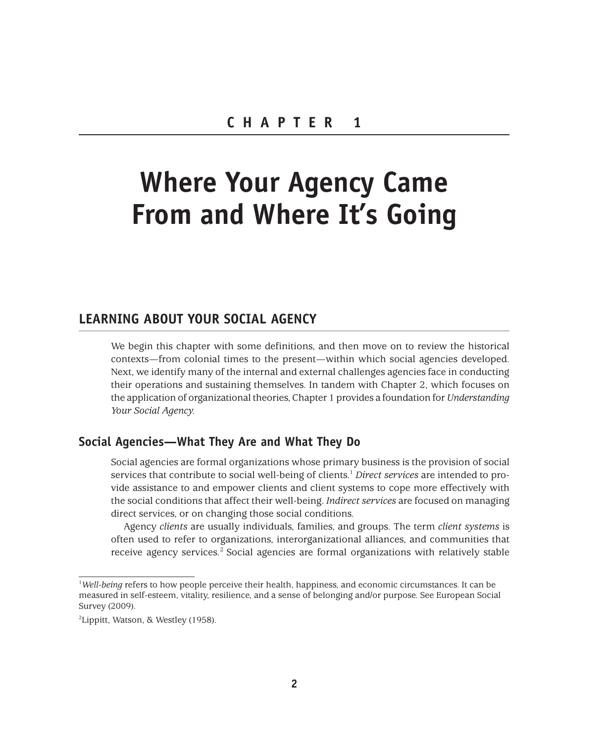# **Where Your Agency Came From and Where It's Going**

# **LEARNING ABOUT YOUR SOCIAL AGENCY**

We begin this chapter with some definitions, and then move on to review the historical contexts—from colonial times to the present—within which social agencies developed. Next, we identify many of the internal and external challenges agencies face in conducting their operations and sustaining themselves. In tandem with Chapter 2, which focuses on the application of organizational theories, Chapter 1 provides a foundation for *Understanding Your Social Agency.*

## **Social Agencies—What They Are and What They Do**

Social agencies are formal organizations whose primary business is the provision of social services that contribute to social well-being of clients.1 *Direct services* are intended to provide assistance to and empower clients and client systems to cope more effectively with the social conditions that affect their well-being. *Indirect services* are focused on managing direct services, or on changing those social conditions.

Agency *clients* are usually individuals, families, and groups. The term *client systems* is often used to refer to organizations, interorganizational alliances, and communities that receive agency services.<sup>2</sup> Social agencies are formal organizations with relatively stable

<sup>&</sup>lt;sup>1</sup>Well-being refers to how people perceive their health, happiness, and economic circumstances. It can be measured in self-esteem, vitality, resilience, and a sense of belonging and/or purpose. See European Social Survey (2009).

<sup>2</sup> Lippitt, Watson, & Westley (1958).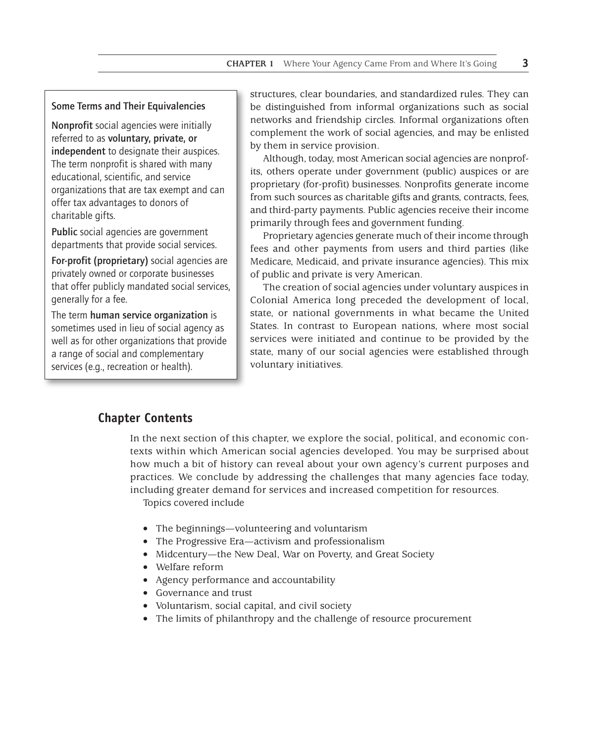#### Some Terms and Their Equivalencies

Nonprofit social agencies were initially referred to as voluntary, private, or independent to designate their auspices. The term nonprofit is shared with many educational, scientific, and service organizations that are tax exempt and can offer tax advantages to donors of charitable gifts.

Public social agencies are government departments that provide social services.

For-profit (proprietary) social agencies are privately owned or corporate businesses that offer publicly mandated social services, generally for a fee.

The term human service organization is sometimes used in lieu of social agency as well as for other organizations that provide a range of social and complementary services (e.g., recreation or health).

structures, clear boundaries, and standardized rules. They can be distinguished from informal organizations such as social networks and friendship circles. Informal organizations often complement the work of social agencies, and may be enlisted by them in service provision.

Although, today, most American social agencies are nonprofits, others operate under government (public) auspices or are proprietary (for-profit) businesses. Nonprofits generate income from such sources as charitable gifts and grants, contracts, fees, and third-party payments. Public agencies receive their income primarily through fees and government funding.

Proprietary agencies generate much of their income through fees and other payments from users and third parties (like Medicare, Medicaid, and private insurance agencies). This mix of public and private is very American.

The creation of social agencies under voluntary auspices in Colonial America long preceded the development of local, state, or national governments in what became the United States. In contrast to European nations, where most social services were initiated and continue to be provided by the state, many of our social agencies were established through voluntary initiatives.

## **Chapter Contents**

In the next section of this chapter, we explore the social, political, and economic contexts within which American social agencies developed. You may be surprised about how much a bit of history can reveal about your own agency's current purposes and practices. We conclude by addressing the challenges that many agencies face today, including greater demand for services and increased competition for resources.

Topics covered include

- The beginnings—volunteering and voluntarism
- The Progressive Era—activism and professionalism
- Midcentury—the New Deal, War on Poverty, and Great Society
- Welfare reform
- Agency performance and accountability
- Governance and trust
- Voluntarism, social capital, and civil society
- The limits of philanthropy and the challenge of resource procurement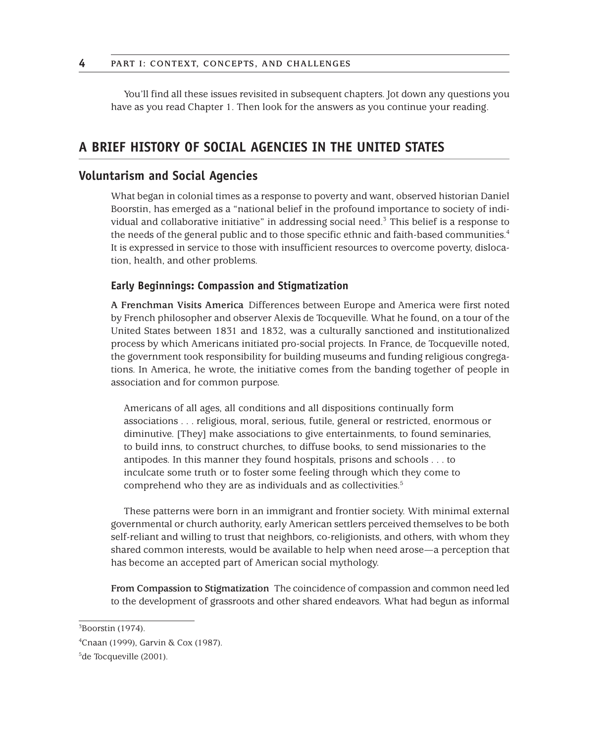You'll find all these issues revisited in subsequent chapters. Jot down any questions you have as you read Chapter 1. Then look for the answers as you continue your reading.

# **A BRIEF HISTORY OF SOCIAL AGENCIES IN THE UNITED STATES**

## **Voluntarism and Social Agencies**

What began in colonial times as a response to poverty and want, observed historian Daniel Boorstin, has emerged as a "national belief in the profound importance to society of individual and collaborative initiative" in addressing social need.<sup>3</sup> This belief is a response to the needs of the general public and to those specific ethnic and faith-based communities.<sup>4</sup> It is expressed in service to those with insufficient resources to overcome poverty, dislocation, health, and other problems.

#### **Early Beginnings: Compassion and Stigmatization**

**A Frenchman Visits America** Differences between Europe and America were first noted by French philosopher and observer Alexis de Tocqueville. What he found, on a tour of the United States between 1831 and 1832, was a culturally sanctioned and institutionalized process by which Americans initiated pro-social projects. In France, de Tocqueville noted, the government took responsibility for building museums and funding religious congregations. In America, he wrote, the initiative comes from the banding together of people in association and for common purpose.

Americans of all ages, all conditions and all dispositions continually form associations . . . religious, moral, serious, futile, general or restricted, enormous or diminutive. [They] make associations to give entertainments, to found seminaries, to build inns, to construct churches, to diffuse books, to send missionaries to the antipodes. In this manner they found hospitals, prisons and schools . . . to inculcate some truth or to foster some feeling through which they come to comprehend who they are as individuals and as collectivities.<sup>5</sup>

These patterns were born in an immigrant and frontier society. With minimal external governmental or church authority, early American settlers perceived themselves to be both self-reliant and willing to trust that neighbors, co-religionists, and others, with whom they shared common interests, would be available to help when need arose—a perception that has become an accepted part of American social mythology.

**From Compassion to Stigmatization** The coincidence of compassion and common need led to the development of grassroots and other shared endeavors. What had begun as informal

 $3$ Boorstin (1974).

<sup>4</sup> Cnaan (1999), Garvin & Cox (1987).

<sup>&</sup>lt;sup>5</sup>de Tocqueville (2001).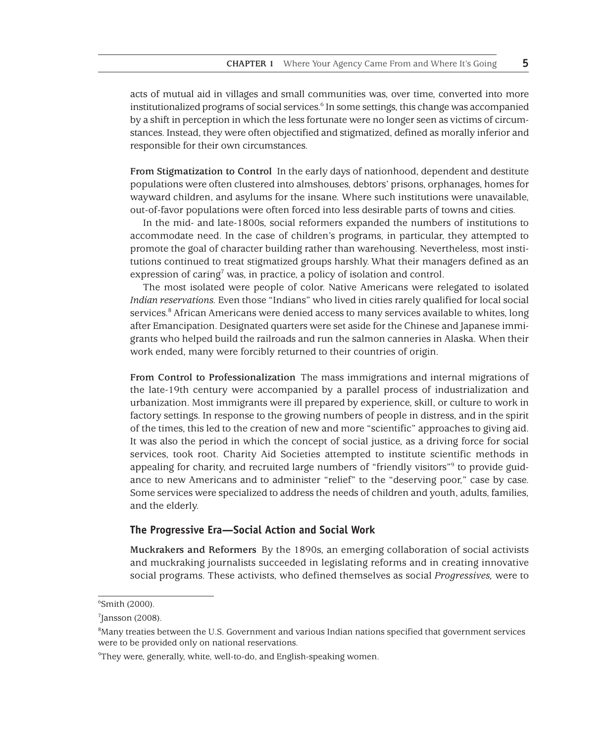acts of mutual aid in villages and small communities was, over time, converted into more institutionalized programs of social services.<sup>6</sup> In some settings, this change was accompanied by a shift in perception in which the less fortunate were no longer seen as victims of circumstances. Instead, they were often objectified and stigmatized, defined as morally inferior and responsible for their own circumstances.

**From Stigmatization to Control** In the early days of nationhood, dependent and destitute populations were often clustered into almshouses, debtors' prisons, orphanages, homes for wayward children, and asylums for the insane. Where such institutions were unavailable, out-of-favor populations were often forced into less desirable parts of towns and cities.

In the mid- and late-1800s, social reformers expanded the numbers of institutions to accommodate need. In the case of children's programs, in particular, they attempted to promote the goal of character building rather than warehousing. Nevertheless, most institutions continued to treat stigmatized groups harshly. What their managers defined as an expression of caring<sup>7</sup> was, in practice, a policy of isolation and control.

The most isolated were people of color. Native Americans were relegated to isolated *Indian reservations.* Even those "Indians" who lived in cities rarely qualified for local social services.<sup>8</sup> African Americans were denied access to many services available to whites, long after Emancipation. Designated quarters were set aside for the Chinese and Japanese immigrants who helped build the railroads and run the salmon canneries in Alaska. When their work ended, many were forcibly returned to their countries of origin.

**From Control to Professionalization** The mass immigrations and internal migrations of the late-19th century were accompanied by a parallel process of industrialization and urbanization. Most immigrants were ill prepared by experience, skill, or culture to work in factory settings. In response to the growing numbers of people in distress, and in the spirit of the times, this led to the creation of new and more "scientific" approaches to giving aid. It was also the period in which the concept of social justice, as a driving force for social services, took root. Charity Aid Societies attempted to institute scientific methods in appealing for charity, and recruited large numbers of "friendly visitors"<sup>9</sup> to provide guidance to new Americans and to administer "relief" to the "deserving poor," case by case. Some services were specialized to address the needs of children and youth, adults, families, and the elderly.

#### **The Progressive Era—Social Action and Social Work**

**Muckrakers and Reformers** By the 1890s, an emerging collaboration of social activists and muckraking journalists succeeded in legislating reforms and in creating innovative social programs. These activists, who defined themselves as social *Progressives,* were to

<sup>6</sup> Smith (2000).

 $7$ Jansson (2008).

<sup>8</sup> Many treaties between the U.S. Government and various Indian nations specified that government services were to be provided only on national reservations.

<sup>9</sup> They were, generally, white, well-to-do, and English-speaking women.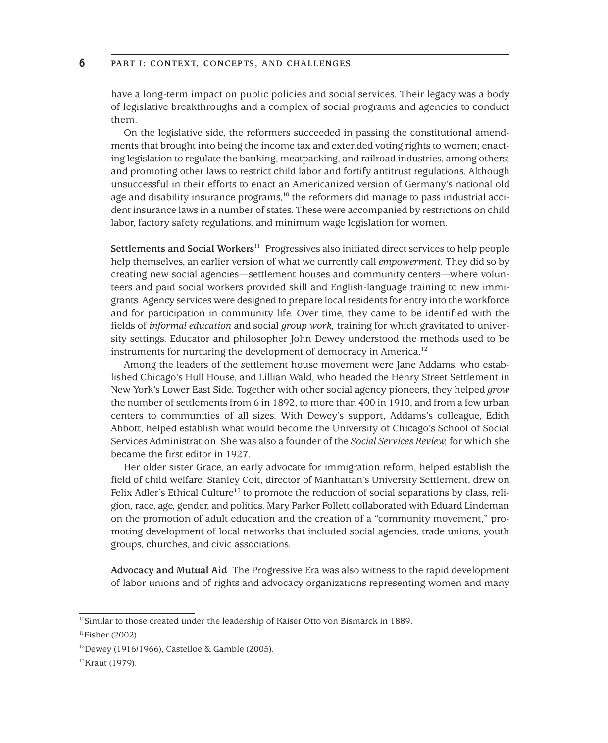have a long-term impact on public policies and social services. Their legacy was a body of legislative breakthroughs and a complex of social programs and agencies to conduct them.

On the legislative side, the reformers succeeded in passing the constitutional amendments that brought into being the income tax and extended voting rights to women; enacting legislation to regulate the banking, meatpacking, and railroad industries, among others; and promoting other laws to restrict child labor and fortify antitrust regulations. Although unsuccessful in their efforts to enact an Americanized version of Germany's national old age and disability insurance programs, $10$  the reformers did manage to pass industrial accident insurance laws in a number of states. These were accompanied by restrictions on child labor, factory safety regulations, and minimum wage legislation for women.

**Settlements and Social Workers**<sup>11</sup> Progressives also initiated direct services to help people help themselves, an earlier version of what we currently call *empowerment.* They did so by creating new social agencies—settlement houses and community centers—where volunteers and paid social workers provided skill and English-language training to new immigrants. Agency services were designed to prepare local residents for entry into the workforce and for participation in community life. Over time, they came to be identified with the fields of *informal education* and social *group work,* training for which gravitated to university settings. Educator and philosopher John Dewey understood the methods used to be instruments for nurturing the development of democracy in America.<sup>12</sup>

Among the leaders of the *s*ettlement house movement were Jane Addams, who established Chicago's Hull House, and Lillian Wald, who headed the Henry Street Settlement in New York's Lower East Side. Together with other social agency pioneers, they helped *grow*  the number of settlements from 6 in 1892, to more than 400 in 1910, and from a few urban centers to communities of all sizes. With Dewey's support, Addams's colleague, Edith Abbott, helped establish what would become the University of Chicago's School of Social Services Administration. She was also a founder of the *Social Services Review,* for which she became the first editor in 1927.

Her older sister Grace, an early advocate for immigration reform, helped establish the field of child welfare. Stanley Coit, director of Manhattan's University Settlement, drew on Felix Adler's Ethical Culture<sup>15</sup> to promote the reduction of social separations by class, religion, race, age, gender, and politics. Mary Parker Follett collaborated with Eduard Lindeman on the promotion of adult education and the creation of a "community movement," promoting development of local networks that included social agencies, trade unions, youth groups, churches, and civic associations.

**Advocacy and Mutual Aid** The Progressive Era was also witness to the rapid development of labor unions and of rights and advocacy organizations representing women and many

<sup>&</sup>lt;sup>10</sup>Similar to those created under the leadership of Kaiser Otto von Bismarck in 1889.

 $11$ Fisher (2002).

<sup>12</sup>Dewey (1916/1966), Castelloe & Gamble (2005).

<sup>13</sup>Kraut (1979).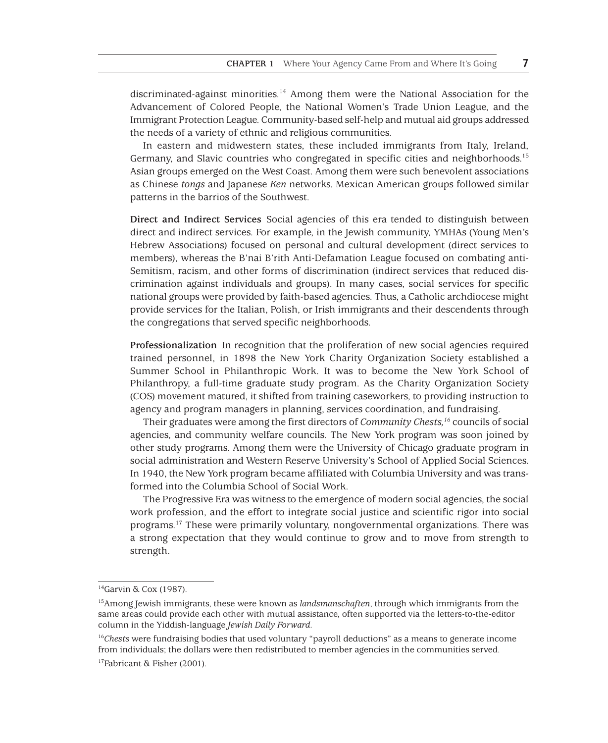discriminated-against minorities.14 Among them were the National Association for the Advancement of Colored People, the National Women's Trade Union League, and the Immigrant Protection League. Community-based self-help and mutual aid groups addressed the needs of a variety of ethnic and religious communities.

In eastern and midwestern states, these included immigrants from Italy, Ireland, Germany, and Slavic countries who congregated in specific cities and neighborhoods.15 Asian groups emerged on the West Coast. Among them were such benevolent associations as Chinese *tongs* and Japanese *Ken* networks. Mexican American groups followed similar patterns in the barrios of the Southwest.

**Direct and Indirect Services** Social agencies of this era tended to distinguish between direct and indirect services. For example, in the Jewish community, YMHAs (Young Men's Hebrew Associations) focused on personal and cultural development (direct services to members), whereas the B'nai B'rith Anti-Defamation League focused on combating anti-Semitism, racism, and other forms of discrimination (indirect services that reduced discrimination against individuals and groups). In many cases, social services for specific national groups were provided by faith-based agencies. Thus, a Catholic archdiocese might provide services for the Italian, Polish, or Irish immigrants and their descendents through the congregations that served specific neighborhoods.

**Professionalization** In recognition that the proliferation of new social agencies required trained personnel, in 1898 the New York Charity Organization Society established a Summer School in Philanthropic Work. It was to become the New York School of Philanthropy, a full-time graduate study program. As the Charity Organization Society (COS) movement matured, it shifted from training caseworkers, to providing instruction to agency and program managers in planning, services coordination, and fundraising.

Their graduates were among the first directors of *Community Chests,16* councils of social agencies, and community welfare councils. The New York program was soon joined by other study programs. Among them were the University of Chicago graduate program in social administration and Western Reserve University's School of Applied Social Sciences. In 1940, the New York program became affiliated with Columbia University and was transformed into the Columbia School of Social Work.

The Progressive Era was witness to the emergence of modern social agencies, the social work profession, and the effort to integrate social justice and scientific rigor into social programs.17 These were primarily voluntary, nongovernmental organizations. There was a strong expectation that they would continue to grow and to move from strength to strength.

<sup>14</sup>Garvin & Cox (1987).

<sup>15</sup>Among Jewish immigrants, these were known as *landsmanschaften*, through which immigrants from the same areas could provide each other with mutual assistance, often supported via the letters-to-the-editor column in the Yiddish-language *Jewish Daily Forward.*

<sup>16</sup>*Chests* were fundraising bodies that used voluntary "payroll deductions" as a means to generate income from individuals; the dollars were then redistributed to member agencies in the communities served.

<sup>17</sup>Fabricant & Fisher (2001).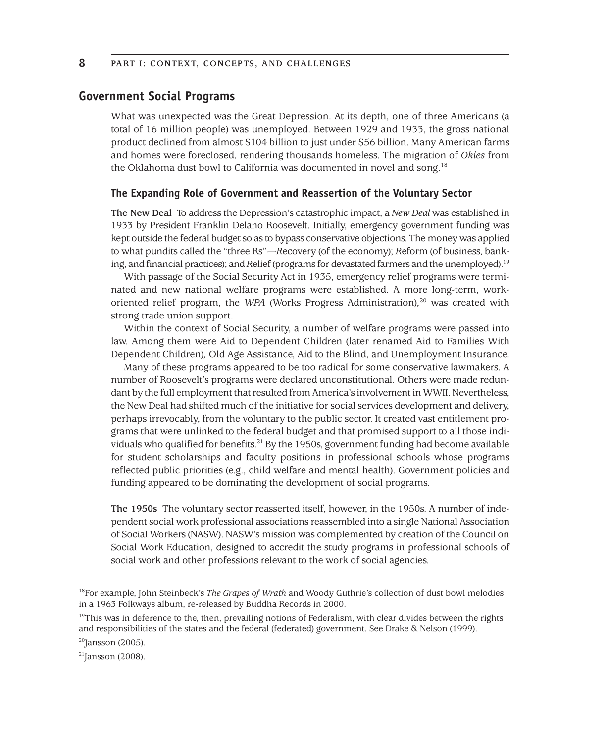## **Government Social Programs**

What was unexpected was the Great Depression. At its depth, one of three Americans (a total of 16 million people) was unemployed. Between 1929 and 1933, the gross national product declined from almost \$104 billion to just under \$56 billion. Many American farms and homes were foreclosed, rendering thousands homeless. The migration of *Okies* from the Oklahoma dust bowl to California was documented in novel and song.<sup>18</sup>

#### **The Expanding Role of Government and Reassertion of the Voluntary Sector**

**The New Deal** To address the Depression's catastrophic impact, a *New Deal* was established in 1933 by President Franklin Delano Roosevelt. Initially, emergency government funding was kept outside the federal budget so as to bypass conservative objections. The money was applied to what pundits called the "three Rs"—*R*ecovery (of the economy); *R*eform (of business, banking, and financial practices); and *Relief* (programs for devastated farmers and the unemployed).<sup>19</sup>

With passage of the Social Security Act in 1935, emergency relief programs were terminated and new national welfare programs were established. A more long-term, workoriented relief program, the *WPA* (Works Progress Administration)*,* <sup>20</sup> was created with strong trade union support.

Within the context of Social Security, a number of welfare programs were passed into law. Among them were Aid to Dependent Children (later renamed Aid to Families With Dependent Children)*,* Old Age Assistance, Aid to the Blind, and Unemployment Insurance.

Many of these programs appeared to be too radical for some conservative lawmakers. A number of Roosevelt's programs were declared unconstitutional. Others were made redundant by the full employment that resulted from America's involvement in WWII. Nevertheless, the New Deal had shifted much of the initiative for social services development and delivery, perhaps irrevocably, from the voluntary to the public sector. It created vast entitlement programs that were unlinked to the federal budget and that promised support to all those individuals who qualified for benefits.<sup>21</sup> By the 1950s, government funding had become available for student scholarships and faculty positions in professional schools whose programs reflected public priorities (e.g., child welfare and mental health). Government policies and funding appeared to be dominating the development of social programs.

**The 1950s** The voluntary sector reasserted itself, however, in the 1950s. A number of independent social work professional associations reassembled into a single National Association of Social Workers (NASW). NASW's mission was complemented by creation of the Council on Social Work Education, designed to accredit the study programs in professional schools of social work and other professions relevant to the work of social agencies.

 $20$ Jansson (2005).

<sup>18</sup>For example, John Steinbeck's *The Grapes of Wrath* and Woody Guthrie's collection of dust bowl melodies in a 1963 Folkways album, re-released by Buddha Records in 2000.

 $19$ This was in deference to the, then, prevailing notions of Federalism, with clear divides between the rights and responsibilities of the states and the federal (federated) government. See Drake & Nelson (1999).

 $21$ Jansson (2008).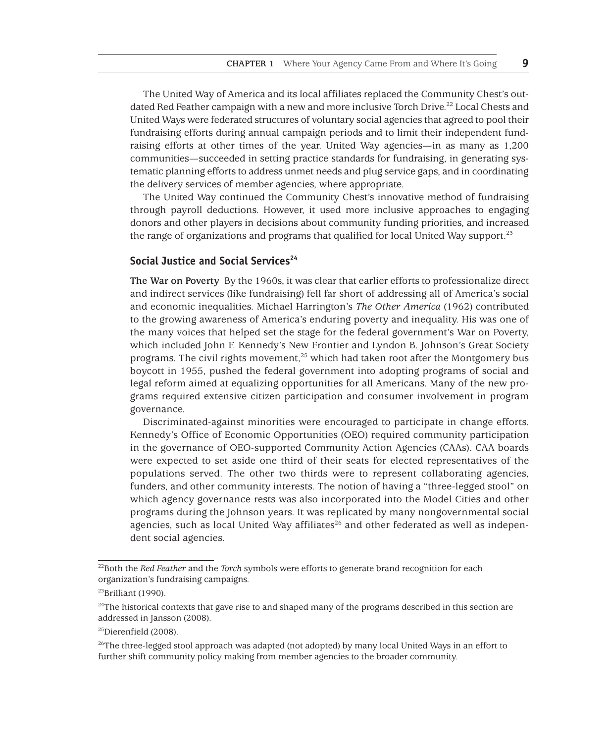The United Way of America and its local affiliates replaced the Community Chest's outdated Red Feather campaign with a new and more inclusive Torch Drive.<sup>22</sup> Local Chests and United Ways were federated structures of voluntary social agencies that agreed to pool their fundraising efforts during annual campaign periods and to limit their independent fundraising efforts at other times of the year. United Way agencies—in as many as 1,200 communities—succeeded in setting practice standards for fundraising, in generating systematic planning efforts to address unmet needs and plug service gaps, and in coordinating the delivery services of member agencies, where appropriate.

The United Way continued the Community Chest's innovative method of fundraising through payroll deductions. However, it used more inclusive approaches to engaging donors and other players in decisions about community funding priorities, and increased the range of organizations and programs that qualified for local United Way support.<sup>23</sup>

#### **Social Justice and Social Services**<sup>24</sup>

**The War on Poverty** By the 1960s, it was clear that earlier efforts to professionalize direct and indirect services (like fundraising) fell far short of addressing all of America's social and economic inequalities. Michael Harrington's *The Other America* (1962) contributed to the growing awareness of America's enduring poverty and inequality. His was one of the many voices that helped set the stage for the federal government's War on Poverty, which included John F. Kennedy's New Frontier and Lyndon B. Johnson's Great Society programs. The civil rights movement, $25$  which had taken root after the Montgomery bus boycott in 1955, pushed the federal government into adopting programs of social and legal reform aimed at equalizing opportunities for all Americans. Many of the new programs required extensive citizen participation and consumer involvement in program governance.

Discriminated-against minorities were encouraged to participate in change efforts. Kennedy's Office of Economic Opportunities (OEO) required community participation in the governance of OEO-supported Community Action Agencies (CAAs). CAA boards were expected to set aside one third of their seats for elected representatives of the populations served. The other two thirds were to represent collaborating agencies, funders, and other community interests. The notion of having a "three-legged stool" on which agency governance rests was also incorporated into the Model Cities and other programs during the Johnson years. It was replicated by many nongovernmental social agencies, such as local United Way affiliates $^{26}$  and other federated as well as independent social agencies.

<sup>22</sup>Both the *Red Feather* and the *Torch* symbols were efforts to generate brand recognition for each organization's fundraising campaigns.

 $23$ Brilliant (1990).

<sup>&</sup>lt;sup>24</sup>The historical contexts that gave rise to and shaped many of the programs described in this section are addressed in Jansson (2008).

<sup>&</sup>lt;sup>25</sup>Dierenfield (2008).

<sup>&</sup>lt;sup>26</sup>The three-legged stool approach was adapted (not adopted) by many local United Ways in an effort to further shift community policy making from member agencies to the broader community.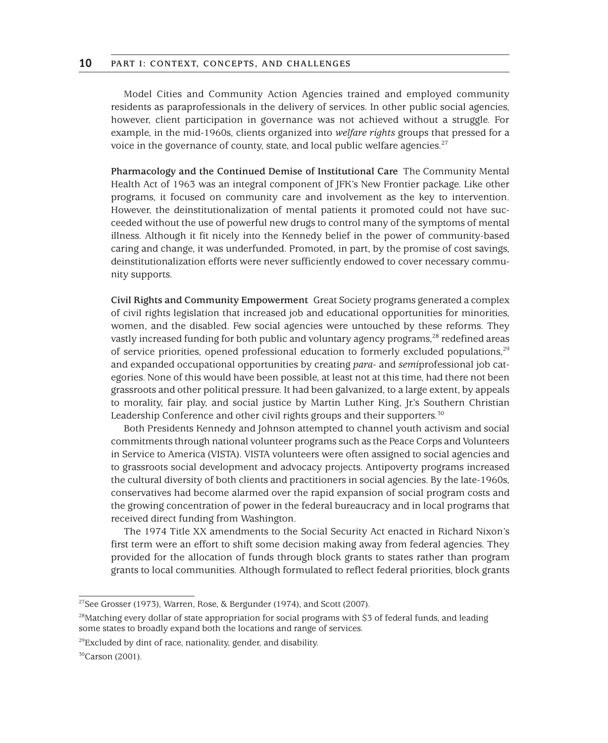Model Cities and Community Action Agencies trained and employed community residents as paraprofessionals in the delivery of services. In other public social agencies, however, client participation in governance was not achieved without a struggle. For example, in the mid-1960s, clients organized into *welfare rights* groups that pressed for a voice in the governance of county, state, and local public welfare agencies.<sup>27</sup>

**Pharmacology and the Continued Demise of Institutional Care** The Community Mental Health Act of 1963 was an integral component of JFK's New Frontier package. Like other programs, it focused on community care and involvement as the key to intervention. However, the deinstitutionalization of mental patients it promoted could not have succeeded without the use of powerful new drugs to control many of the symptoms of mental illness. Although it fit nicely into the Kennedy belief in the power of community-based caring and change, it was underfunded. Promoted, in part, by the promise of cost savings, deinstitutionalization efforts were never sufficiently endowed to cover necessary community supports.

**Civil Rights and Community Empowerment** Great Society programs generated a complex of civil rights legislation that increased job and educational opportunities for minorities, women, and the disabled. Few social agencies were untouched by these reforms. They vastly increased funding for both public and voluntary agency programs,<sup>28</sup> redefined areas of service priorities, opened professional education to formerly excluded populations.<sup>29</sup> and expanded occupational opportunities by creating *para*- and *semi*professional job categories. None of this would have been possible, at least not at this time, had there not been grassroots and other political pressure. It had been galvanized, to a large extent, by appeals to morality, fair play, and social justice by Martin Luther King, Jr.'s Southern Christian Leadership Conference and other civil rights groups and their supporters.<sup>30</sup>

Both Presidents Kennedy and Johnson attempted to channel youth activism and social commitments through national volunteer programs such as the Peace Corps and Volunteers in Service to America (VISTA). VISTA volunteers were often assigned to social agencies and to grassroots social development and advocacy projects. Antipoverty programs increased the cultural diversity of both clients and practitioners in social agencies. By the late-1960s, conservatives had become alarmed over the rapid expansion of social program costs and the growing concentration of power in the federal bureaucracy and in local programs that received direct funding from Washington.

The 1974 Title XX amendments to the Social Security Act enacted in Richard Nixon's first term were an effort to shift some decision making away from federal agencies. They provided for the allocation of funds through block grants to states rather than program grants to local communities. Although formulated to reflect federal priorities, block grants

<sup>27</sup>See Grosser (1973), Warren, Rose, & Bergunder (1974), and Scott (2007).

<sup>&</sup>lt;sup>28</sup>Matching every dollar of state appropriation for social programs with \$3 of federal funds, and leading some states to broadly expand both the locations and range of services.

<sup>&</sup>lt;sup>29</sup>Excluded by dint of race, nationality, gender, and disability.

<sup>30</sup>Carson (2001).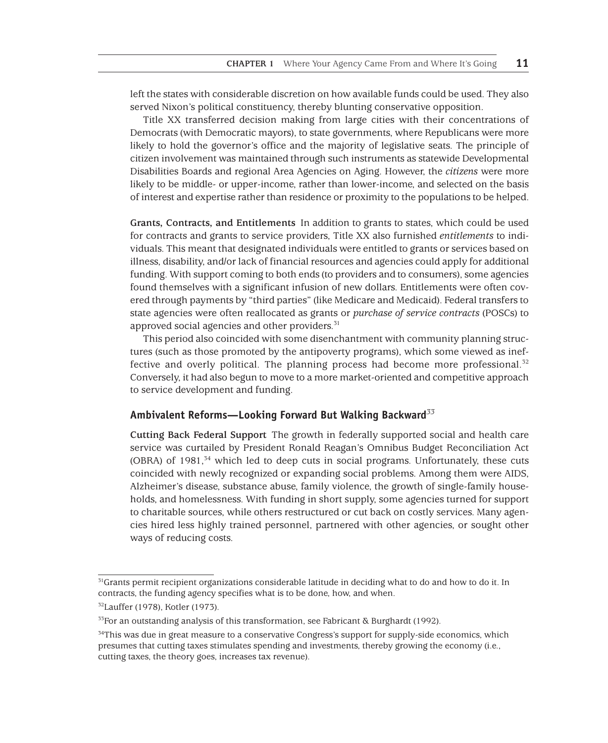left the states with considerable discretion on how available funds could be used. They also served Nixon's political constituency, thereby blunting conservative opposition.

Title XX transferred decision making from large cities with their concentrations of Democrats (with Democratic mayors), to state governments, where Republicans were more likely to hold the governor's office and the majority of legislative seats. The principle of citizen involvement was maintained through such instruments as statewide Developmental Disabilities Boards and regional Area Agencies on Aging. However, the *citizens* were more likely to be middle- or upper-income, rather than lower-income, and selected on the basis of interest and expertise rather than residence or proximity to the populations to be helped.

**Grants, Contracts, and Entitlements** In addition to grants to states, which could be used for contracts and grants to service providers, Title XX also furnished *entitlements* to individuals. This meant that designated individuals were entitled to grants or services based on illness, disability, and/or lack of financial resources and agencies could apply for additional funding. With support coming to both ends (to providers and to consumers), some agencies found themselves with a significant infusion of new dollars. Entitlements were often covered through payments by "third parties" (like Medicare and Medicaid). Federal transfers to state agencies were often reallocated as grants or *purchase of service contracts* (POSCs) to approved social agencies and other providers.<sup>31</sup>

This period also coincided with some disenchantment with community planning structures (such as those promoted by the antipoverty programs), which some viewed as ineffective and overly political. The planning process had become more professional. $32$ Conversely, it had also begun to move to a more market-oriented and competitive approach to service development and funding.

#### **Ambivalent Reforms—Looking Forward But Walking Backward***<sup>33</sup>*

**Cutting Back Federal Support** The growth in federally supported social and health care service was curtailed by President Ronald Reagan's Omnibus Budget Reconciliation Act (OBRA) of  $1981$ ,<sup>34</sup> which led to deep cuts in social programs. Unfortunately, these cuts coincided with newly recognized or expanding social problems. Among them were AIDS, Alzheimer's disease, substance abuse, family violence, the growth of single-family households, and homelessness. With funding in short supply, some agencies turned for support to charitable sources, while others restructured or cut back on costly services. Many agencies hired less highly trained personnel, partnered with other agencies, or sought other ways of reducing costs.

 $31$ Grants permit recipient organizations considerable latitude in deciding what to do and how to do it. In contracts, the funding agency specifies what is to be done, how, and when.

<sup>32</sup>Lauffer (1978), Kotler (1973).

 $33$ For an outstanding analysis of this transformation, see Fabricant & Burghardt (1992).

<sup>&</sup>lt;sup>34</sup>This was due in great measure to a conservative Congress's support for supply-side economics, which presumes that cutting taxes stimulates spending and investments, thereby growing the economy (i.e., cutting taxes, the theory goes, increases tax revenue).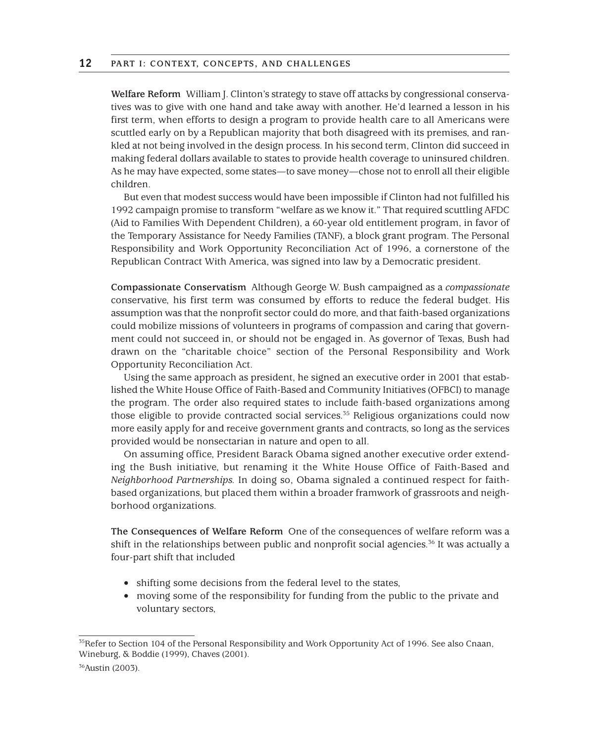**Welfare Reform** William J. Clinton's strategy to stave off attacks by congressional conservatives was to give with one hand and take away with another. He'd learned a lesson in his first term, when efforts to design a program to provide health care to all Americans were scuttled early on by a Republican majority that both disagreed with its premises, and rankled at not being involved in the design process. In his second term, Clinton did succeed in making federal dollars available to states to provide health coverage to uninsured children. As he may have expected, some states—to save money—chose not to enroll all their eligible children.

But even that modest success would have been impossible if Clinton had not fulfilled his 1992 campaign promise to transform "welfare as we know it." That required scuttling AFDC (Aid to Families With Dependent Children), a 60-year old entitlement program, in favor of the Temporary Assistance for Needy Families (TANF), a block grant program. The Personal Responsibility and Work Opportunity Reconciliation Act of 1996, a cornerstone of the Republican Contract With America, was signed into law by a Democratic president.

**Compassionate Conservatism** Although George W. Bush campaigned as a *compassionate* conservative, his first term was consumed by efforts to reduce the federal budget. His assumption was that the nonprofit sector could do more, and that faith-based organizations could mobilize missions of volunteers in programs of compassion and caring that government could not succeed in, or should not be engaged in. As governor of Texas, Bush had drawn on the "charitable choice" section of the Personal Responsibility and Work Opportunity Reconciliation Act.

Using the same approach as president, he signed an executive order in 2001 that established the White House Office of Faith-Based and Community Initiatives (OFBCI) to manage the program. The order also required states to include faith-based organizations among those eligible to provide contracted social services.<sup>35</sup> Religious organizations could now more easily apply for and receive government grants and contracts, so long as the services provided would be nonsectarian in nature and open to all.

On assuming office, President Barack Obama signed another executive order extending the Bush initiative, but renaming it the White House Office of Faith-Based and *Neighborhood Partnerships.* In doing so, Obama signaled a continued respect for faithbased organizations, but placed them within a broader framwork of grassroots and neighborhood organizations.

**The Consequences of Welfare Reform** One of the consequences of welfare reform was a shift in the relationships between public and nonprofit social agencies.<sup>36</sup> It was actually a four-part shift that included

- shifting some decisions from the federal level to the states,
- moving some of the responsibility for funding from the public to the private and voluntary sectors,

<sup>&</sup>lt;sup>35</sup>Refer to Section 104 of the Personal Responsibility and Work Opportunity Act of 1996. See also Cnaan, Wineburg, & Boddie (1999), Chaves (2001).

<sup>36</sup>Austin (2003).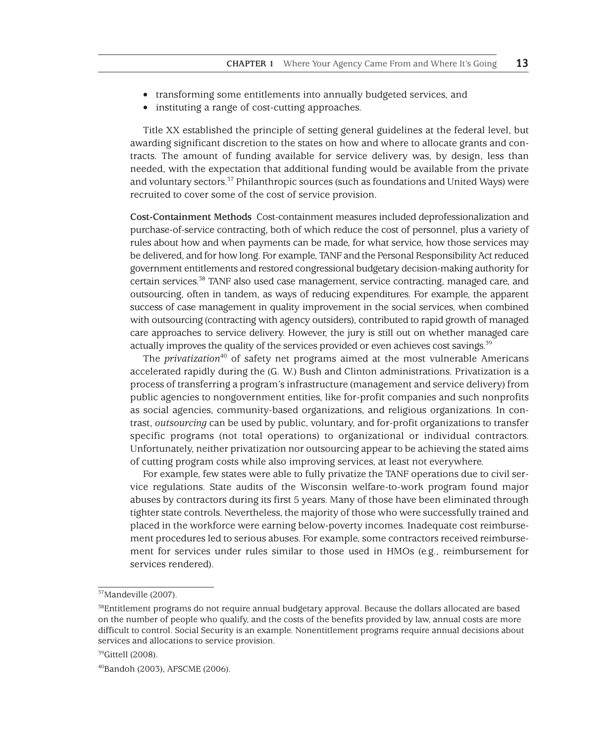- transforming some entitlements into annually budgeted services, and
- instituting a range of cost-cutting approaches.

Title XX established the principle of setting general guidelines at the federal level, but awarding significant discretion to the states on how and where to allocate grants and contracts. The amount of funding available for service delivery was, by design, less than needed, with the expectation that additional funding would be available from the private and voluntary sectors.37 Philanthropic sources (such as foundations and United Ways) were recruited to cover some of the cost of service provision.

**Cost-Containment Methods** Cost-containment measures included deprofessionalization and purchase-of-service contracting, both of which reduce the cost of personnel, plus a variety of rules about how and when payments can be made, for what service, how those services may be delivered, and for how long. For example, TANF and the Personal Responsibility Act reduced government entitlements and restored congressional budgetary decision-making authority for certain services.38 TANF also used case management, service contracting, managed care, and outsourcing, often in tandem, as ways of reducing expenditures. For example, the apparent success of case management in quality improvement in the social services, when combined with outsourcing (contracting with agency outsiders), contributed to rapid growth of managed care approaches to service delivery. However, the jury is still out on whether managed care actually improves the quality of the services provided or even achieves cost savings.<sup>39</sup>

The *privatization*<sup>40</sup> of safety net programs aimed at the most vulnerable Americans accelerated rapidly during the (G. W.) Bush and Clinton administrations. Privatization is a process of transferring a program's infrastructure (management and service delivery) from public agencies to nongovernment entities, like for-profit companies and such nonprofits as social agencies, community-based organizations, and religious organizations. In contrast, *outsourcing* can be used by public, voluntary, and for-profit organizations to transfer specific programs (not total operations) to organizational or individual contractors. Unfortunately, neither privatization nor outsourcing appear to be achieving the stated aims of cutting program costs while also improving services, at least not everywhere.

For example, few states were able to fully privatize the TANF operations due to civil service regulations. State audits of the Wisconsin welfare-to-work program found major abuses by contractors during its first 5 years. Many of those have been eliminated through tighter state controls. Nevertheless, the majority of those who were successfully trained and placed in the workforce were earning below-poverty incomes. Inadequate cost reimbursement procedures led to serious abuses. For example, some contractors received reimbursement for services under rules similar to those used in HMOs (e.g., reimbursement for services rendered).

<sup>37</sup>Mandeville (2007).

<sup>&</sup>lt;sup>38</sup>Entitlement programs do not require annual budgetary approval. Because the dollars allocated are based on the number of people who qualify, and the costs of the benefits provided by law, annual costs are more difficult to control. Social Security is an example. Nonentitlement programs require annual decisions about services and allocations to service provision.

<sup>&</sup>lt;sup>39</sup>Gittell (2008).

<sup>40</sup>Bandoh (2003), AFSCME (2006).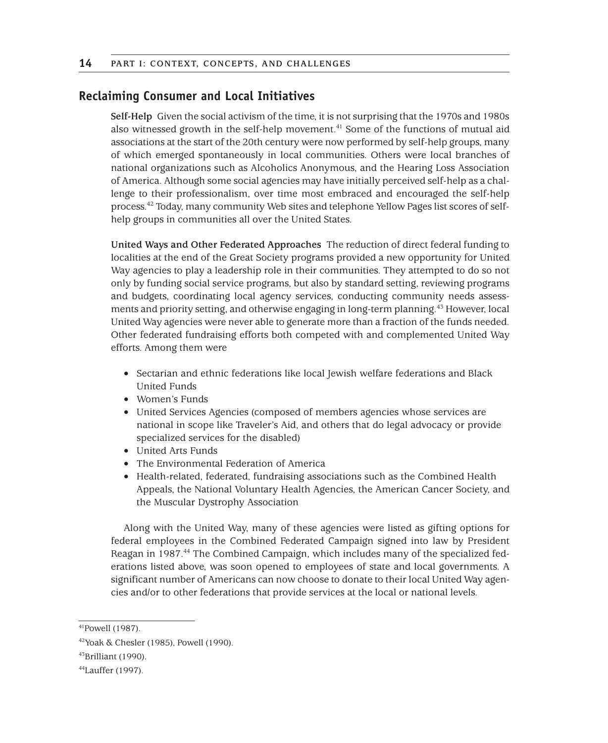## **Reclaiming Consumer and Local Initiatives**

**Self-Help** Given the social activism of the time, it is not surprising that the 1970s and 1980s also witnessed growth in the self-help movement.<sup>41</sup> Some of the functions of mutual aid associations at the start of the 20th century were now performed by self-help groups, many of which emerged spontaneously in local communities. Others were local branches of national organizations such as Alcoholics Anonymous, and the Hearing Loss Association of America. Although some social agencies may have initially perceived self-help as a challenge to their professionalism, over time most embraced and encouraged the self-help process.42 Today, many community Web sites and telephone Yellow Pages list scores of selfhelp groups in communities all over the United States.

**United Ways and Other Federated Approaches** The reduction of direct federal funding to localities at the end of the Great Society programs provided a new opportunity for United Way agencies to play a leadership role in their communities. They attempted to do so not only by funding social service programs, but also by standard setting, reviewing programs and budgets, coordinating local agency services, conducting community needs assessments and priority setting, and otherwise engaging in long-term planning.43 However, local United Way agencies were never able to generate more than a fraction of the funds needed. Other federated fundraising efforts both competed with and complemented United Way efforts. Among them were

- Sectarian and ethnic federations like local Jewish welfare federations and Black United Funds
- Women's Funds
- United Services Agencies (composed of members agencies whose services are national in scope like Traveler's Aid, and others that do legal advocacy or provide specialized services for the disabled)
- United Arts Funds
- The Environmental Federation of America
- Health-related, federated, fundraising associations such as the Combined Health Appeals, the National Voluntary Health Agencies, the American Cancer Society, and the Muscular Dystrophy Association

Along with the United Way, many of these agencies were listed as gifting options for federal employees in the Combined Federated Campaign signed into law by President Reagan in 1987.<sup>44</sup> The Combined Campaign, which includes many of the specialized federations listed above, was soon opened to employees of state and local governments. A significant number of Americans can now choose to donate to their local United Way agencies and/or to other federations that provide services at the local or national levels.

<sup>41</sup>Powell (1987).

<sup>42</sup>Yoak & Chesler (1985), Powell (1990).

<sup>43</sup>Brilliant (1990).

<sup>44</sup>Lauffer (1997).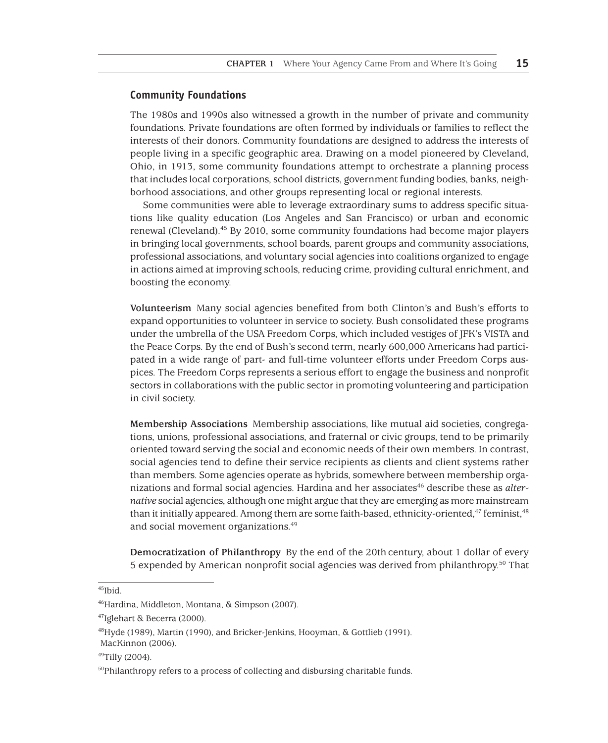#### **Community Foundations**

The 1980s and 1990s also witnessed a growth in the number of private and community foundations. Private foundations are often formed by individuals or families to reflect the interests of their donors. Community foundations are designed to address the interests of people living in a specific geographic area. Drawing on a model pioneered by Cleveland, Ohio, in 1913, some community foundations attempt to orchestrate a planning process that includes local corporations, school districts, government funding bodies, banks, neighborhood associations, and other groups representing local or regional interests.

Some communities were able to leverage extraordinary sums to address specific situations like quality education (Los Angeles and San Francisco) or urban and economic renewal (Cleveland).45 By 2010, some community foundations had become major players in bringing local governments, school boards, parent groups and community associations, professional associations, and voluntary social agencies into coalitions organized to engage in actions aimed at improving schools, reducing crime, providing cultural enrichment, and boosting the economy.

**Volunteerism** Many social agencies benefited from both Clinton's and Bush's efforts to expand opportunities to volunteer in service to society. Bush consolidated these programs under the umbrella of the USA Freedom Corps, which included vestiges of JFK's VISTA and the Peace Corps. By the end of Bush's second term, nearly 600,000 Americans had participated in a wide range of part- and full-time volunteer efforts under Freedom Corps auspices. The Freedom Corps represents a serious effort to engage the business and nonprofit sectors in collaborations with the public sector in promoting volunteering and participation in civil society.

**Membership Associations** Membership associations, like mutual aid societies, congregations, unions, professional associations, and fraternal or civic groups, tend to be primarily oriented toward serving the social and economic needs of their own members. In contrast, social agencies tend to define their service recipients as clients and client systems rather than members. Some agencies operate as hybrids, somewhere between membership organizations and formal social agencies. Hardina and her associates<sup>46</sup> describe these as *alternative* social agencies, although one might argue that they are emerging as more mainstream than it initially appeared. Among them are some faith-based, ethnicity-oriented,<sup>47</sup> feminist,<sup>48</sup> and social movement organizations.49

**Democratization of Philanthropy** By the end of the 20th century, about 1 dollar of every 5 expended by American nonprofit social agencies was derived from philanthropy.50 That

<sup>45</sup>Ibid.

<sup>46</sup>Hardina, Middleton, Montana, & Simpson (2007).

<sup>47</sup>Iglehart & Becerra (2000).

<sup>48</sup>Hyde (1989), Martin (1990), and Bricker-Jenkins, Hooyman, & Gottlieb (1991). MacKinnon (2006).

<sup>49</sup>Tilly (2004).

<sup>&</sup>lt;sup>50</sup>Philanthropy refers to a process of collecting and disbursing charitable funds.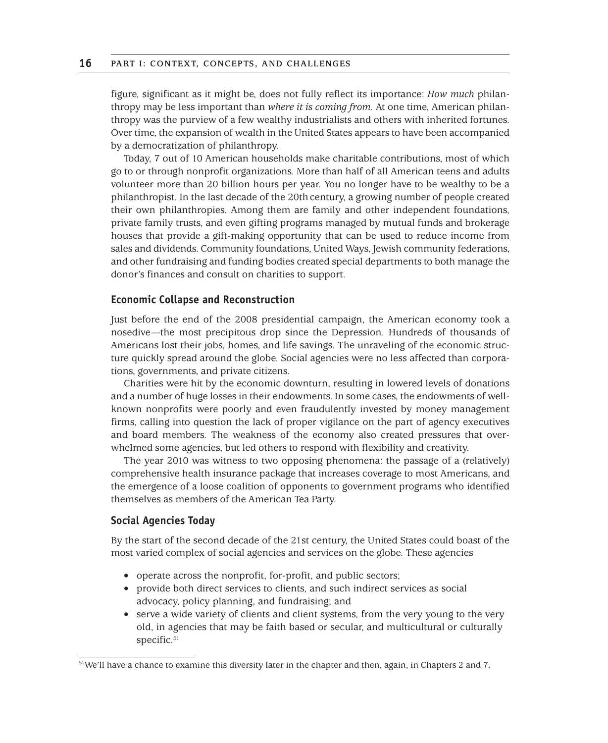figure, significant as it might be, does not fully reflect its importance: *How much* philanthropy may be less important than *where it is coming from.* At one time, American philanthropy was the purview of a few wealthy industrialists and others with inherited fortunes. Over time, the expansion of wealth in the United States appears to have been accompanied by a democratization of philanthropy.

Today, 7 out of 10 American households make charitable contributions, most of which go to or through nonprofit organizations. More than half of all American teens and adults volunteer more than 20 billion hours per year. You no longer have to be wealthy to be a philanthropist. In the last decade of the 20th century, a growing number of people created their own philanthropies. Among them are family and other independent foundations, private family trusts, and even gifting programs managed by mutual funds and brokerage houses that provide a gift-making opportunity that can be used to reduce income from sales and dividends. Community foundations, United Ways, Jewish community federations, and other fundraising and funding bodies created special departments to both manage the donor's finances and consult on charities to support.

#### **Economic Collapse and Reconstruction**

Just before the end of the 2008 presidential campaign, the American economy took a nosedive—the most precipitous drop since the Depression. Hundreds of thousands of Americans lost their jobs, homes, and life savings. The unraveling of the economic structure quickly spread around the globe. Social agencies were no less affected than corporations, governments, and private citizens.

Charities were hit by the economic downturn, resulting in lowered levels of donations and a number of huge losses in their endowments. In some cases, the endowments of wellknown nonprofits were poorly and even fraudulently invested by money management firms, calling into question the lack of proper vigilance on the part of agency executives and board members. The weakness of the economy also created pressures that overwhelmed some agencies, but led others to respond with flexibility and creativity.

The year 2010 was witness to two opposing phenomena: the passage of a (relatively) comprehensive health insurance package that increases coverage to most Americans, and the emergence of a loose coalition of opponents to government programs who identified themselves as members of the American Tea Party.

#### **Social Agencies Today**

By the start of the second decade of the 21st century, the United States could boast of the most varied complex of social agencies and services on the globe. These agencies

- operate across the nonprofit, for-profit, and public sectors;
- provide both direct services to clients, and such indirect services as social advocacy, policy planning, and fundraising; and
- serve a wide variety of clients and client systems, from the very young to the very old, in agencies that may be faith based or secular, and multicultural or culturally specific.<sup>51</sup>

<sup>51</sup>We'll have a chance to examine this diversity later in the chapter and then, again, in Chapters 2 and 7.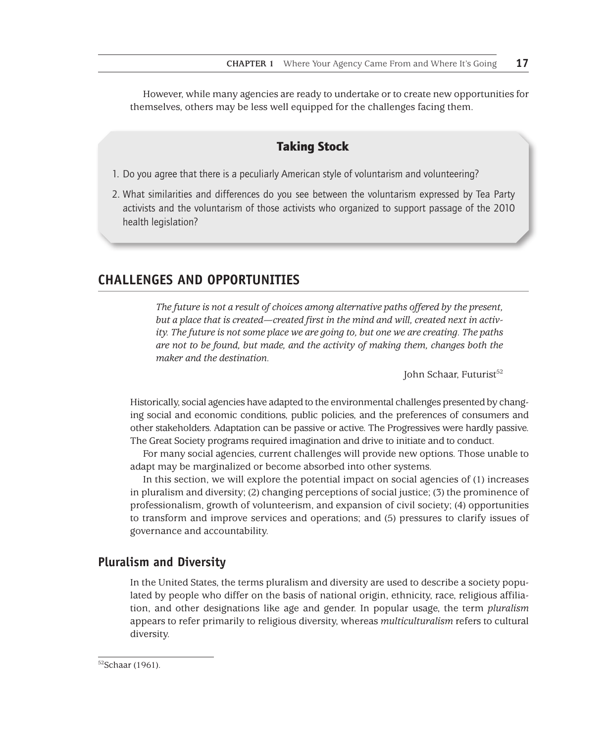However, while many agencies are ready to undertake or to create new opportunities for themselves, others may be less well equipped for the challenges facing them.

# Taking Stock

- 1. Do you agree that there is a peculiarly American style of voluntarism and volunteering?
- 2. What similarities and differences do you see between the voluntarism expressed by Tea Party activists and the voluntarism of those activists who organized to support passage of the 2010 health legislation?

# **CHALLENGES AND OPPORTUNITIES**

*The future is not a result of choices among alternative paths offered by the present, but a place that is created—created first in the mind and will, created next in activity. The future is not some place we are going to, but one we are creating. The paths are not to be found, but made, and the activity of making them, changes both the maker and the destination.*

John Schaar, Futurist<sup>52</sup>

Historically, social agencies have adapted to the environmental challenges presented by changing social and economic conditions, public policies, and the preferences of consumers and other stakeholders. Adaptation can be passive or active. The Progressives were hardly passive. The Great Society programs required imagination and drive to initiate and to conduct.

For many social agencies, current challenges will provide new options. Those unable to adapt may be marginalized or become absorbed into other systems.

In this section, we will explore the potential impact on social agencies of (1) increases in pluralism and diversity; (2) changing perceptions of social justice; (3) the prominence of professionalism, growth of volunteerism, and expansion of civil society; (4) opportunities to transform and improve services and operations; and (5) pressures to clarify issues of governance and accountability.

## **Pluralism and Diversity**

In the United States, the terms pluralism and diversity are used to describe a society populated by people who differ on the basis of national origin, ethnicity, race, religious affiliation, and other designations like age and gender. In popular usage, the term *pluralism* appears to refer primarily to religious diversity, whereas *multiculturalism* refers to cultural diversity.

<sup>52</sup>Schaar (1961).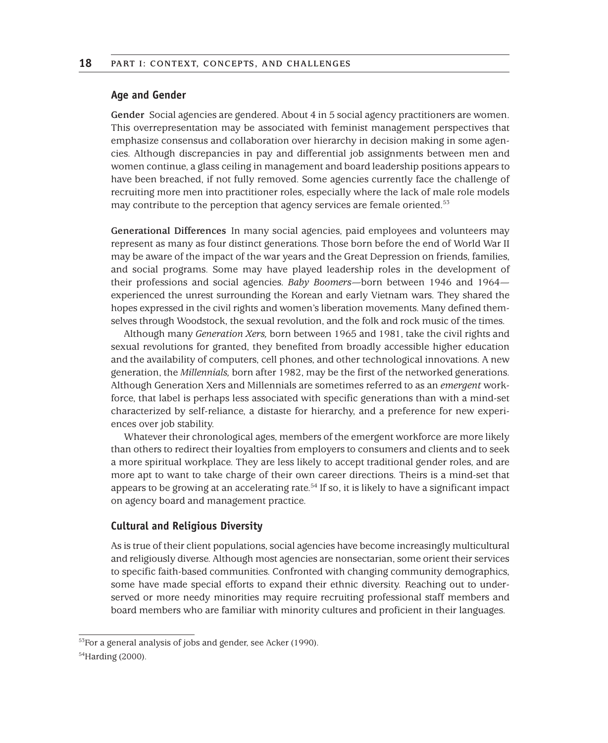#### **Age and Gender**

**Gender** Social agencies are gendered. About 4 in 5 social agency practitioners are women. This overrepresentation may be associated with feminist management perspectives that emphasize consensus and collaboration over hierarchy in decision making in some agencies. Although discrepancies in pay and differential job assignments between men and women continue, a glass ceiling in management and board leadership positions appears to have been breached, if not fully removed. Some agencies currently face the challenge of recruiting more men into practitioner roles, especially where the lack of male role models may contribute to the perception that agency services are female oriented.<sup>53</sup>

**Generational Differences** In many social agencies, paid employees and volunteers may represent as many as four distinct generations. Those born before the end of World War II may be aware of the impact of the war years and the Great Depression on friends, families, and social programs. Some may have played leadership roles in the development of their professions and social agencies. *Baby Boomers—*born between 1946 and 1964 experienced the unrest surrounding the Korean and early Vietnam wars. They shared the hopes expressed in the civil rights and women's liberation movements. Many defined themselves through Woodstock, the sexual revolution, and the folk and rock music of the times.

Although many *Generation Xers,* born between 1965 and 1981, take the civil rights and sexual revolutions for granted, they benefited from broadly accessible higher education and the availability of computers, cell phones, and other technological innovations. A new generation, the *Millennials,* born after 1982, may be the first of the networked generations. Although Generation Xers and Millennials are sometimes referred to as an *emergent* workforce, that label is perhaps less associated with specific generations than with a mind-set characterized by self-reliance, a distaste for hierarchy, and a preference for new experiences over job stability.

Whatever their chronological ages, members of the emergent workforce are more likely than others to redirect their loyalties from employers to consumers and clients and to seek a more spiritual workplace. They are less likely to accept traditional gender roles, and are more apt to want to take charge of their own career directions. Theirs is a mind-set that appears to be growing at an accelerating rate.<sup>54</sup> If so, it is likely to have a significant impact on agency board and management practice.

#### **Cultural and Religious Diversity**

As is true of their client populations, social agencies have become increasingly multicultural and religiously diverse. Although most agencies are nonsectarian, some orient their services to specific faith-based communities. Confronted with changing community demographics, some have made special efforts to expand their ethnic diversity. Reaching out to underserved or more needy minorities may require recruiting professional staff members and board members who are familiar with minority cultures and proficient in their languages.

<sup>53</sup>For a general analysis of jobs and gender, see Acker (1990).

<sup>54</sup>Harding (2000).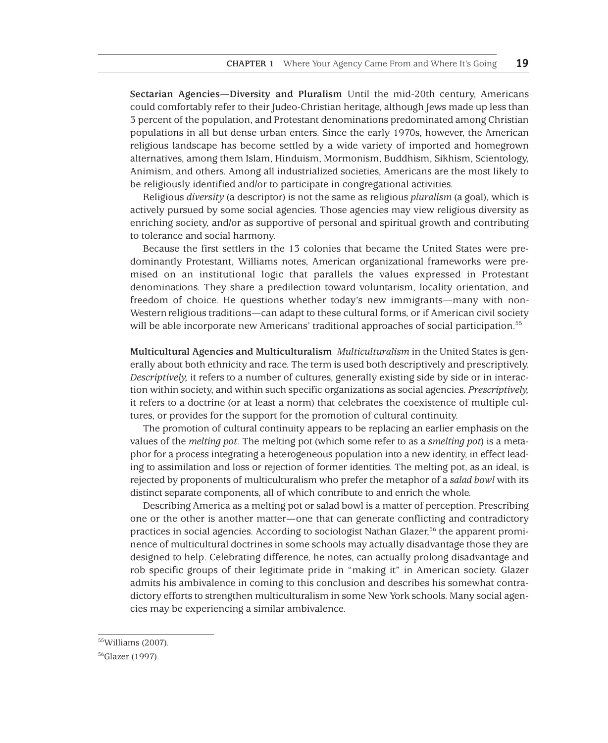**Sectarian Agencies—Diversity and Pluralism** Until the mid-20th century, Americans could comfortably refer to their Judeo-Christian heritage, although Jews made up less than 3 percent of the population, and Protestant denominations predominated among Christian populations in all but dense urban enters. Since the early 1970s, however, the American religious landscape has become settled by a wide variety of imported and homegrown alternatives, among them Islam, Hinduism, Mormonism, Buddhism, Sikhism, Scientology, Animism, and others. Among all industrialized societies, Americans are the most likely to be religiously identified and/or to participate in congregational activities.

Religious *diversity* (a descriptor) is not the same as religious *pluralism* (a goal), which is actively pursued by some social agencies. Those agencies may view religious diversity as enriching society, and/or as supportive of personal and spiritual growth and contributing to tolerance and social harmony.

Because the first settlers in the 13 colonies that became the United States were predominantly Protestant, Williams notes, American organizational frameworks were premised on an institutional logic that parallels the values expressed in Protestant denominations. They share a predilection toward voluntarism, locality orientation, and freedom of choice. He questions whether today's new immigrants—many with non-Western religious traditions—can adapt to these cultural forms, or if American civil society will be able incorporate new Americans' traditional approaches of social participation.<sup>55</sup>

**Multicultural Agencies and Multiculturalism** *Multiculturalism* in the United States is generally about both ethnicity and race. The term is used both descriptively and prescriptively. *Descriptively,* it refers to a number of cultures, generally existing side by side or in interaction within society, and within such specific organizations as social agencies. *Prescriptively,* it refers to a doctrine (or at least a norm) that celebrates the coexistence of multiple cultures, or provides for the support for the promotion of cultural continuity.

The promotion of cultural continuity appears to be replacing an earlier emphasis on the values of the *melting pot.* The melting pot (which some refer to as a *smelting pot*) is a metaphor for a process integrating a heterogeneous population into a new identity, in effect leading to assimilation and loss or rejection of former identities. The melting pot, as an ideal, is rejected by proponents of multiculturalism who prefer the metaphor of a *salad bowl* with its distinct separate components, all of which contribute to and enrich the whole.

Describing America as a melting pot or salad bowl is a matter of perception. Prescribing one or the other is another matter—one that can generate conflicting and contradictory practices in social agencies. According to sociologist Nathan Glazer,56 the apparent prominence of multicultural doctrines in some schools may actually disadvantage those they are designed to help. Celebrating difference, he notes, can actually prolong disadvantage and rob specific groups of their legitimate pride in "making it" in American society. Glazer admits his ambivalence in coming to this conclusion and describes his somewhat contradictory efforts to strengthen multiculturalism in some New York schools. Many social agencies may be experiencing a similar ambivalence.

<sup>55</sup>Williams (2007).

<sup>56</sup>Glazer (1997).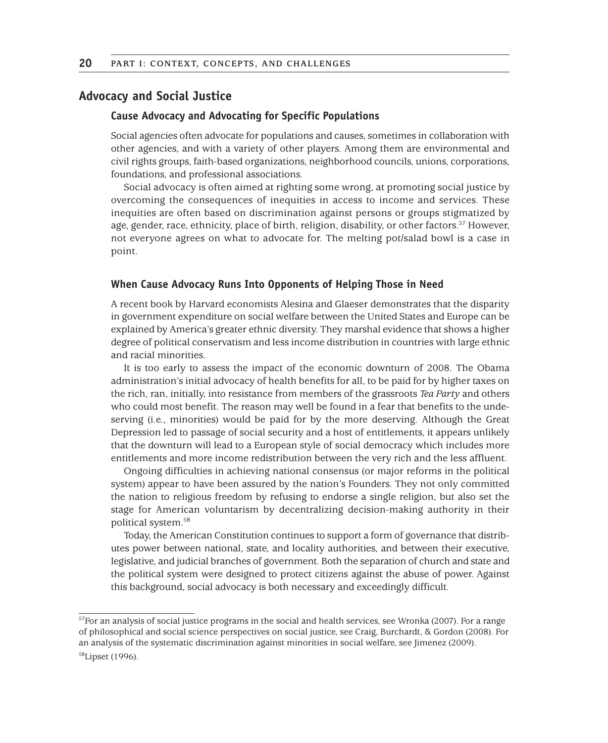## **Advocacy and Social Justice**

#### **Cause Advocacy and Advocating for Specific Populations**

Social agencies often advocate for populations and causes, sometimes in collaboration with other agencies, and with a variety of other players. Among them are environmental and civil rights groups, faith-based organizations, neighborhood councils, unions, corporations, foundations, and professional associations.

Social advocacy is often aimed at righting some wrong, at promoting social justice by overcoming the consequences of inequities in access to income and services. These inequities are often based on discrimination against persons or groups stigmatized by age, gender, race, ethnicity, place of birth, religion, disability, or other factors.<sup>57</sup> However, not everyone agrees on what to advocate for. The melting pot/salad bowl is a case in point.

#### **When Cause Advocacy Runs Into Opponents of Helping Those in Need**

A recent book by Harvard economists Alesina and Glaeser demonstrates that the disparity in government expenditure on social welfare between the United States and Europe can be explained by America's greater ethnic diversity. They marshal evidence that shows a higher degree of political conservatism and less income distribution in countries with large ethnic and racial minorities.

It is too early to assess the impact of the economic downturn of 2008. The Obama administration's initial advocacy of health benefits for all, to be paid for by higher taxes on the rich, ran, initially, into resistance from members of the grassroots *Tea Party* and others who could most benefit. The reason may well be found in a fear that benefits to the undeserving (i.e., minorities) would be paid for by the more deserving. Although the Great Depression led to passage of social security and a host of entitlements, it appears unlikely that the downturn will lead to a European style of social democracy which includes more entitlements and more income redistribution between the very rich and the less affluent.

Ongoing difficulties in achieving national consensus (or major reforms in the political system) appear to have been assured by the nation's Founders. They not only committed the nation to religious freedom by refusing to endorse a single religion, but also set the stage for American voluntarism by decentralizing decision-making authority in their political system.58

Today, the American Constitution continues to support a form of governance that distributes power between national, state, and locality authorities, and between their executive, legislative, and judicial branches of government. Both the separation of church and state and the political system were designed to protect citizens against the abuse of power. Against this background, social advocacy is both necessary and exceedingly difficult.

 $57$ For an analysis of social justice programs in the social and health services, see Wronka (2007). For a range of philosophical and social science perspectives on social justice, see Craig, Burchardt, & Gordon (2008). For an analysis of the systematic discrimination against minorities in social welfare, see Jimenez (2009).

<sup>58</sup>Lipset (1996).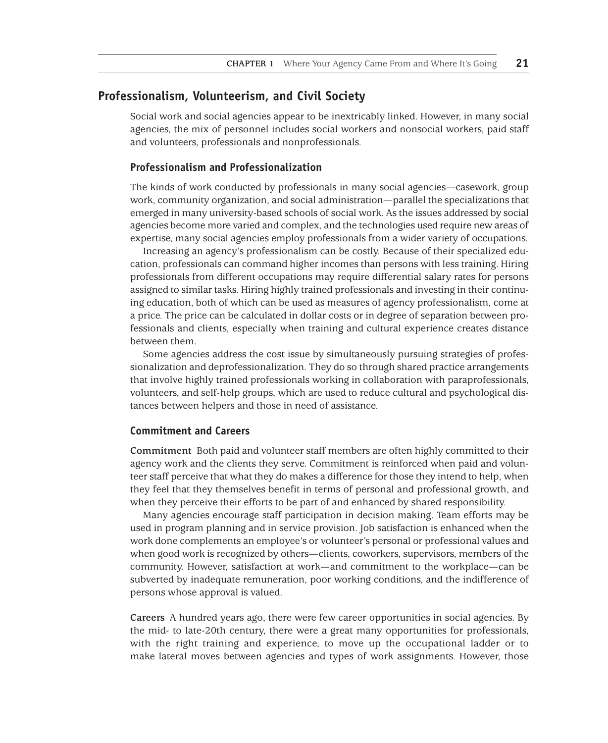## **Professionalism, Volunteerism, and Civil Society**

Social work and social agencies appear to be inextricably linked. However, in many social agencies, the mix of personnel includes social workers and nonsocial workers, paid staff and volunteers, professionals and nonprofessionals.

#### **Professionalism and Professionalization**

The kinds of work conducted by professionals in many social agencies—casework, group work, community organization, and social administration—parallel the specializations that emerged in many university-based schools of social work. As the issues addressed by social agencies become more varied and complex, and the technologies used require new areas of expertise, many social agencies employ professionals from a wider variety of occupations.

Increasing an agency's professionalism can be costly. Because of their specialized education, professionals can command higher incomes than persons with less training. Hiring professionals from different occupations may require differential salary rates for persons assigned to similar tasks. Hiring highly trained professionals and investing in their continuing education, both of which can be used as measures of agency professionalism, come at a price. The price can be calculated in dollar costs or in degree of separation between professionals and clients, especially when training and cultural experience creates distance between them.

Some agencies address the cost issue by simultaneously pursuing strategies of professionalization and deprofessionalization. They do so through shared practice arrangements that involve highly trained professionals working in collaboration with paraprofessionals, volunteers, and self-help groups, which are used to reduce cultural and psychological distances between helpers and those in need of assistance.

#### **Commitment and Careers**

**Commitment** Both paid and volunteer staff members are often highly committed to their agency work and the clients they serve. Commitment is reinforced when paid and volunteer staff perceive that what they do makes a difference for those they intend to help, when they feel that they themselves benefit in terms of personal and professional growth, and when they perceive their efforts to be part of and enhanced by shared responsibility.

Many agencies encourage staff participation in decision making. Team efforts may be used in program planning and in service provision. Job satisfaction is enhanced when the work done complements an employee's or volunteer's personal or professional values and when good work is recognized by others—clients, coworkers, supervisors, members of the community. However, satisfaction at work—and commitment to the workplace—can be subverted by inadequate remuneration, poor working conditions, and the indifference of persons whose approval is valued.

**Careers** A hundred years ago, there were few career opportunities in social agencies. By the mid- to late-20th century, there were a great many opportunities for professionals, with the right training and experience, to move up the occupational ladder or to make lateral moves between agencies and types of work assignments. However, those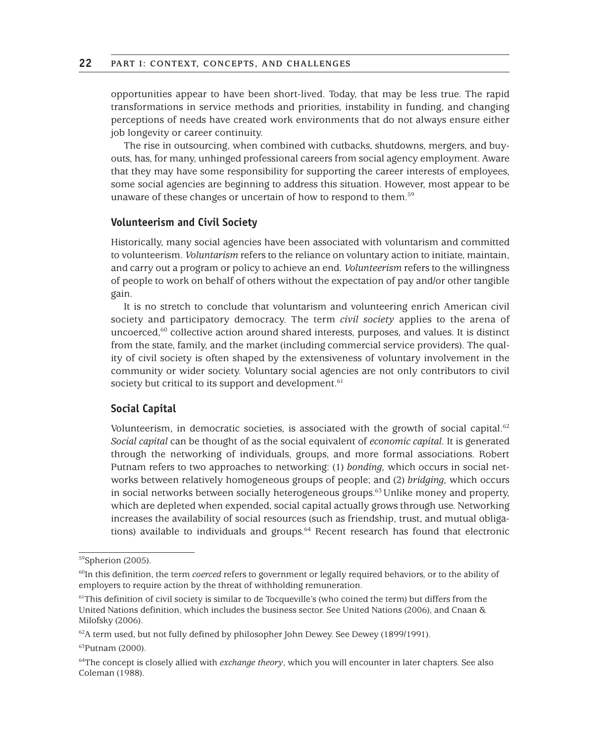opportunities appear to have been short-lived. Today, that may be less true. The rapid transformations in service methods and priorities, instability in funding, and changing perceptions of needs have created work environments that do not always ensure either job longevity or career continuity.

The rise in outsourcing, when combined with cutbacks, shutdowns, mergers, and buyouts, has, for many, unhinged professional careers from social agency employment. Aware that they may have some responsibility for supporting the career interests of employees, some social agencies are beginning to address this situation. However, most appear to be unaware of these changes or uncertain of how to respond to them.<sup>59</sup>

#### **Volunteerism and Civil Society**

Historically, many social agencies have been associated with voluntarism and committed to volunteerism. *Voluntarism* refers to the reliance on voluntary action to initiate, maintain, and carry out a program or policy to achieve an end. *Volunteerism* refers to the willingness of people to work on behalf of others without the expectation of pay and/or other tangible gain.

It is no stretch to conclude that voluntarism and volunteering enrich American civil society and participatory democracy. The term *civil society* applies to the arena of uncoerced,<sup>60</sup> collective action around shared interests, purposes, and values. It is distinct from the state, family, and the market (including commercial service providers). The quality of civil society is often shaped by the extensiveness of voluntary involvement in the community or wider society. Voluntary social agencies are not only contributors to civil society but critical to its support and development.<sup>61</sup>

#### **Social Capital**

Volunteerism, in democratic societies, is associated with the growth of social capital.<sup>62</sup> *Social capital* can be thought of as the social equivalent of *economic capital*. It is generated through the networking of individuals, groups, and more formal associations. Robert Putnam refers to two approaches to networking: (1) *bonding,* which occurs in social networks between relatively homogeneous groups of people; and (2) *bridging,* which occurs in social networks between socially heterogeneous groups.<sup>63</sup> Unlike money and property, which are depleted when expended, social capital actually grows through use. Networking increases the availability of social resources (such as friendship, trust, and mutual obligations) available to individuals and groups. $64$  Recent research has found that electronic

<sup>59</sup>Spherion (2005).

<sup>&</sup>lt;sup>60</sup>In this definition, the term *coerced* refers to government or legally required behaviors, or to the ability of employers to require action by the threat of withholding remuneration.

<sup>&</sup>lt;sup>61</sup>This definition of civil society is similar to de Tocqueville's (who coined the term) but differs from the United Nations definition, which includes the business sector. See United Nations (2006), and Cnaan & Milofsky (2006).

 $62A$  term used, but not fully defined by philosopher John Dewey. See Dewey (1899/1991).

<sup>63</sup>Putnam (2000).

<sup>64</sup>The concept is closely allied with *exchange theory*, which you will encounter in later chapters. See also Coleman (1988).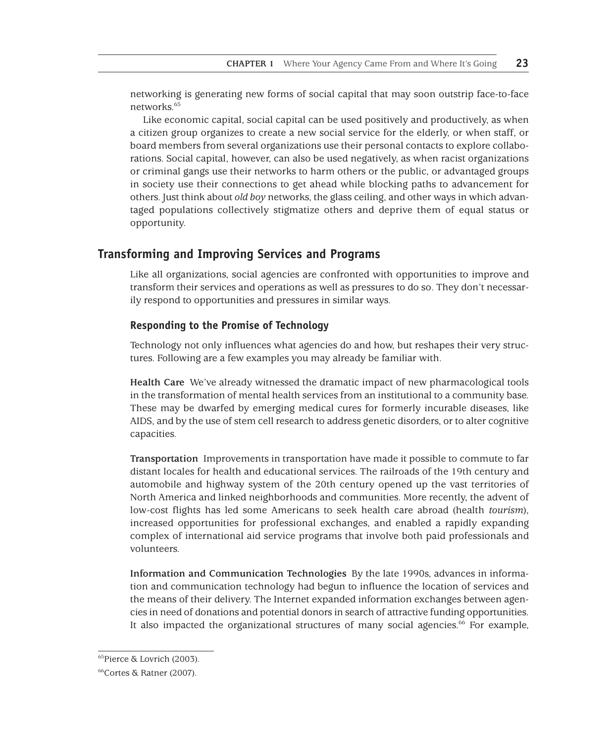networking is generating new forms of social capital that may soon outstrip face-to-face networks.<sup>65</sup>

Like economic capital, social capital can be used positively and productively, as when a citizen group organizes to create a new social service for the elderly, or when staff, or board members from several organizations use their personal contacts to explore collaborations. Social capital, however, can also be used negatively, as when racist organizations or criminal gangs use their networks to harm others or the public, or advantaged groups in society use their connections to get ahead while blocking paths to advancement for others. Just think about *old boy* networks, the glass ceiling, and other ways in which advantaged populations collectively stigmatize others and deprive them of equal status or opportunity.

## **Transforming and Improving Services and Programs**

Like all organizations, social agencies are confronted with opportunities to improve and transform their services and operations as well as pressures to do so. They don't necessarily respond to opportunities and pressures in similar ways.

#### **Responding to the Promise of Technology**

Technology not only influences what agencies do and how, but reshapes their very structures. Following are a few examples you may already be familiar with.

**Health Care** We've already witnessed the dramatic impact of new pharmacological tools in the transformation of mental health services from an institutional to a community base. These may be dwarfed by emerging medical cures for formerly incurable diseases, like AIDS, and by the use of stem cell research to address genetic disorders, or to alter cognitive capacities.

**Transportation** Improvements in transportation have made it possible to commute to far distant locales for health and educational services. The railroads of the 19th century and automobile and highway system of the 20th century opened up the vast territories of North America and linked neighborhoods and communities. More recently, the advent of low-cost flights has led some Americans to seek health care abroad (health *tourism*), increased opportunities for professional exchanges, and enabled a rapidly expanding complex of international aid service programs that involve both paid professionals and volunteers.

**Information and Communication Technologies** By the late 1990s, advances in information and communication technology had begun to influence the location of services and the means of their delivery. The Internet expanded information exchanges between agencies in need of donations and potential donors in search of attractive funding opportunities. It also impacted the organizational structures of many social agencies.<sup>66</sup> For example,

<sup>65</sup>Pierce & Lovrich (2003).

<sup>66</sup>Cortes & Ratner (2007).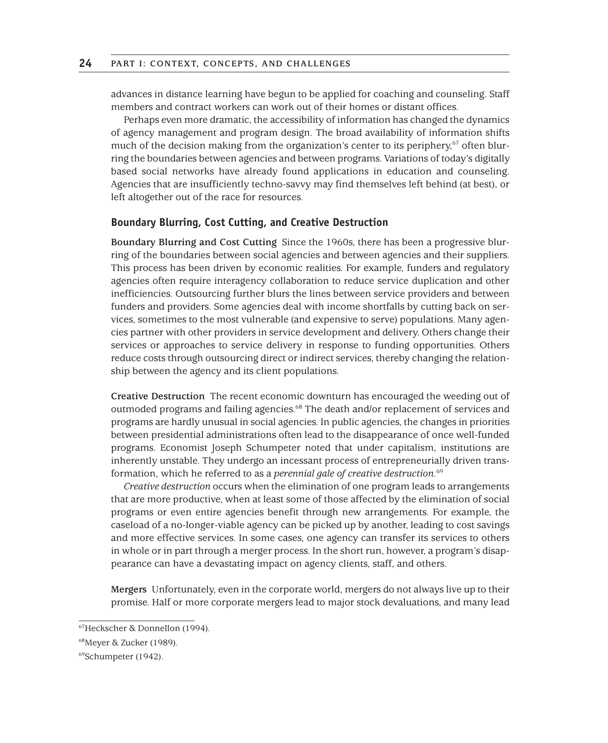advances in distance learning have begun to be applied for coaching and counseling. Staff members and contract workers can work out of their homes or distant offices.

Perhaps even more dramatic, the accessibility of information has changed the dynamics of agency management and program design. The broad availability of information shifts much of the decision making from the organization's center to its periphery,<sup>67</sup> often blurring the boundaries between agencies and between programs. Variations of today's digitally based social networks have already found applications in education and counseling. Agencies that are insufficiently techno-savvy may find themselves left behind (at best), or left altogether out of the race for resources.

#### **Boundary Blurring, Cost Cutting, and Creative Destruction**

**Boundary Blurring and Cost Cutting** Since the 1960s, there has been a progressive blurring of the boundaries between social agencies and between agencies and their suppliers. This process has been driven by economic realities. For example, funders and regulatory agencies often require interagency collaboration to reduce service duplication and other inefficiencies. Outsourcing further blurs the lines between service providers and between funders and providers. Some agencies deal with income shortfalls by cutting back on services, sometimes to the most vulnerable (and expensive to serve) populations. Many agencies partner with other providers in service development and delivery. Others change their services or approaches to service delivery in response to funding opportunities. Others reduce costs through outsourcing direct or indirect services, thereby changing the relationship between the agency and its client populations.

**Creative Destruction** The recent economic downturn has encouraged the weeding out of outmoded programs and failing agencies.68 The death and/or replacement of services and programs are hardly unusual in social agencies. In public agencies, the changes in priorities between presidential administrations often lead to the disappearance of once well-funded programs. Economist Joseph Schumpeter noted that under capitalism, institutions are inherently unstable. They undergo an incessant process of entrepreneurially driven transformation, which he referred to as a *perennial gale of creative destruction.*<sup>69</sup>

*Creative destruction* occurs when the elimination of one program leads to arrangements that are more productive, when at least some of those affected by the elimination of social programs or even entire agencies benefit through new arrangements. For example, the caseload of a no-longer-viable agency can be picked up by another, leading to cost savings and more effective services. In some cases, one agency can transfer its services to others in whole or in part through a merger process. In the short run, however, a program's disappearance can have a devastating impact on agency clients, staff, and others.

**Mergers** Unfortunately, even in the corporate world, mergers do not always live up to their promise. Half or more corporate mergers lead to major stock devaluations, and many lead

<sup>67</sup>Heckscher & Donnellon (1994).

<sup>68</sup>Meyer & Zucker (1989).

<sup>69</sup>Schumpeter (1942).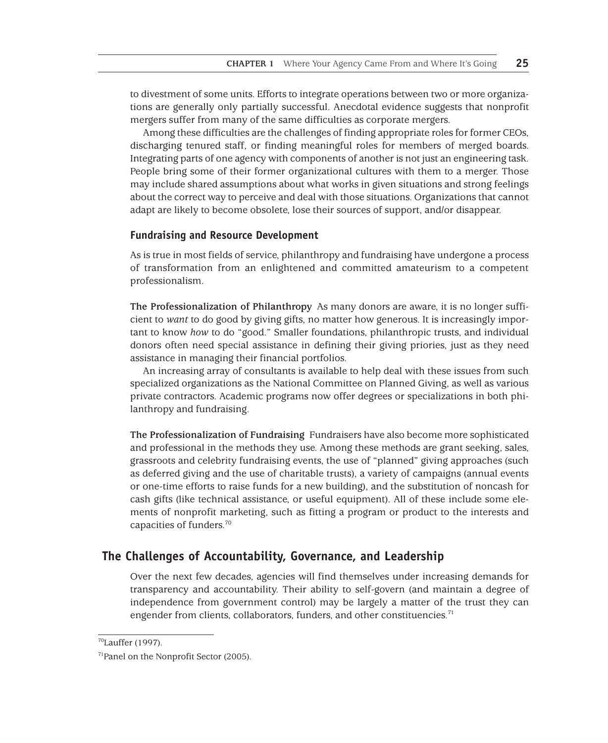to divestment of some units. Efforts to integrate operations between two or more organizations are generally only partially successful. Anecdotal evidence suggests that nonprofit mergers suffer from many of the same difficulties as corporate mergers.

Among these difficulties are the challenges of finding appropriate roles for former CEOs, discharging tenured staff, or finding meaningful roles for members of merged boards. Integrating parts of one agency with components of another is not just an engineering task. People bring some of their former organizational cultures with them to a merger. Those may include shared assumptions about what works in given situations and strong feelings about the correct way to perceive and deal with those situations. Organizations that cannot adapt are likely to become obsolete, lose their sources of support, and/or disappear.

#### **Fundraising and Resource Development**

As is true in most fields of service, philanthropy and fundraising have undergone a process of transformation from an enlightened and committed amateurism to a competent professionalism.

**The Professionalization of Philanthropy** As many donors are aware, it is no longer sufficient to *want* to do good by giving gifts, no matter how generous. It is increasingly important to know *how* to do "good." Smaller foundations, philanthropic trusts, and individual donors often need special assistance in defining their giving priories, just as they need assistance in managing their financial portfolios.

An increasing array of consultants is available to help deal with these issues from such specialized organizations as the National Committee on Planned Giving, as well as various private contractors. Academic programs now offer degrees or specializations in both philanthropy and fundraising.

**The Professionalization of Fundraising** Fundraisers have also become more sophisticated and professional in the methods they use. Among these methods are grant seeking, sales, grassroots and celebrity fundraising events, the use of "planned" giving approaches (such as deferred giving and the use of charitable trusts), a variety of campaigns (annual events or one-time efforts to raise funds for a new building), and the substitution of noncash for cash gifts (like technical assistance, or useful equipment). All of these include some elements of nonprofit marketing, such as fitting a program or product to the interests and capacities of funders.70

## **The Challenges of Accountability, Governance, and Leadership**

Over the next few decades, agencies will find themselves under increasing demands for transparency and accountability. Their ability to self-govern (and maintain a degree of independence from government control) may be largely a matter of the trust they can engender from clients, collaborators, funders, and other constituencies.<sup>71</sup>

<sup>70</sup>Lauffer (1997).

<sup>71</sup>Panel on the Nonprofit Sector (2005).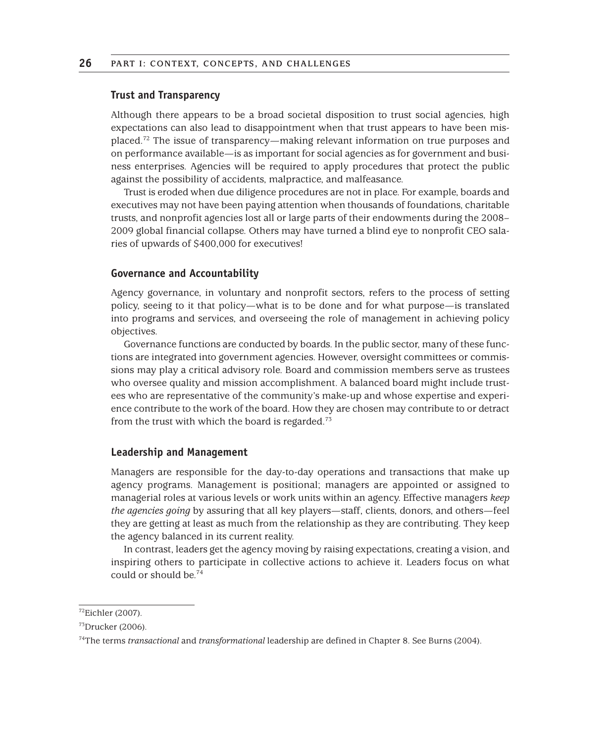#### **Trust and Transparency**

Although there appears to be a broad societal disposition to trust social agencies, high expectations can also lead to disappointment when that trust appears to have been misplaced.72 The issue of transparency—making relevant information on true purposes and on performance available—is as important for social agencies as for government and business enterprises. Agencies will be required to apply procedures that protect the public against the possibility of accidents, malpractice, and malfeasance.

Trust is eroded when due diligence procedures are not in place. For example, boards and executives may not have been paying attention when thousands of foundations, charitable trusts, and nonprofit agencies lost all or large parts of their endowments during the 2008– 2009 global financial collapse. Others may have turned a blind eye to nonprofit CEO salaries of upwards of \$400,000 for executives!

#### **Governance and Accountability**

Agency governance, in voluntary and nonprofit sectors, refers to the process of setting policy, seeing to it that policy—what is to be done and for what purpose—is translated into programs and services, and overseeing the role of management in achieving policy objectives.

Governance functions are conducted by boards. In the public sector, many of these functions are integrated into government agencies. However, oversight committees or commissions may play a critical advisory role. Board and commission members serve as trustees who oversee quality and mission accomplishment. A balanced board might include trustees who are representative of the community's make-up and whose expertise and experience contribute to the work of the board. How they are chosen may contribute to or detract from the trust with which the board is regarded.<sup>73</sup>

#### **Leadership and Management**

Managers are responsible for the day-to-day operations and transactions that make up agency programs. Management is positional; managers are appointed or assigned to managerial roles at various levels or work units within an agency. Effective managers *keep the agencies going* by assuring that all key players—staff, clients, donors, and others—feel they are getting at least as much from the relationship as they are contributing. They keep the agency balanced in its current reality.

In contrast, leaders get the agency moving by raising expectations, creating a vision, and inspiring others to participate in collective actions to achieve it. Leaders focus on what could or should be.74

<sup>72</sup>Eichler (2007).

 $73$ Drucker (2006).

<sup>74</sup>The terms *transactional* and *transformational* leadership are defined in Chapter 8. See Burns (2004).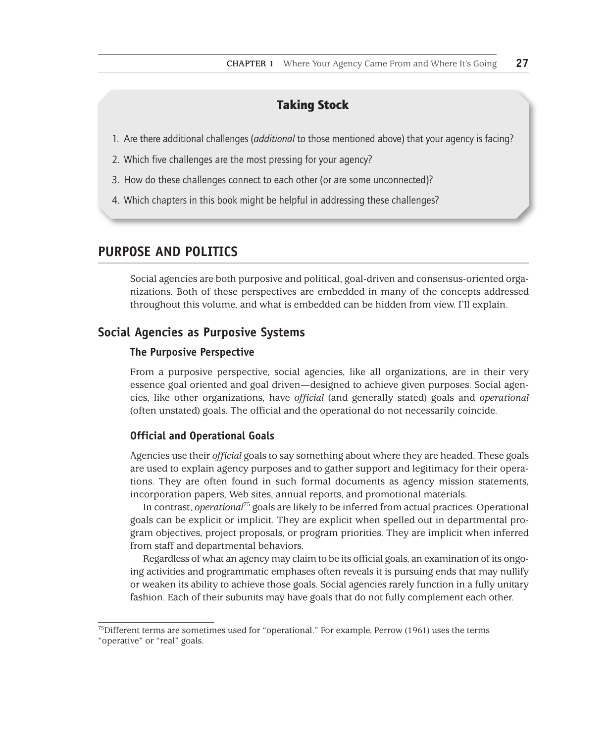# Taking Stock

- 1. Are there additional challenges (*additional* to those mentioned above) that your agency is facing?
- 2. Which five challenges are the most pressing for your agency?
- 3. How do these challenges connect to each other (or are some unconnected)?
- 4. Which chapters in this book might be helpful in addressing these challenges?

## **PURPOSE AND POLITICS**

Social agencies are both purposive and political, goal-driven and consensus-oriented organizations. Both of these perspectives are embedded in many of the concepts addressed throughout this volume, and what is embedded can be hidden from view. I'll explain.

## **Social Agencies as Purposive Systems**

#### **The Purposive Perspective**

From a purposive perspective, social agencies, like all organizations, are in their very essence goal oriented and goal driven—designed to achieve given purposes. Social agencies, like other organizations, have *official* (and generally stated) goals and *operational* (often unstated) goals. The official and the operational do not necessarily coincide.

#### **Official and Operational Goals**

Agencies use their *official* goals to say something about where they are headed. These goals are used to explain agency purposes and to gather support and legitimacy for their operations. They are often found in such formal documents as agency mission statements, incorporation papers, Web sites, annual reports, and promotional materials.

In contrast, *operational*75 goals are likely to be inferred from actual practices. Operational goals can be explicit or implicit. They are explicit when spelled out in departmental program objectives, project proposals, or program priorities. They are implicit when inferred from staff and departmental behaviors.

Regardless of what an agency may claim to be its official goals, an examination of its ongoing activities and programmatic emphases often reveals it is pursuing ends that may nullify or weaken its ability to achieve those goals. Social agencies rarely function in a fully unitary fashion. Each of their subunits may have goals that do not fully complement each other.

 $<sup>75</sup>$ Different terms are sometimes used for "operational." For example, Perrow (1961) uses the terms</sup> "operative" or "real" goals.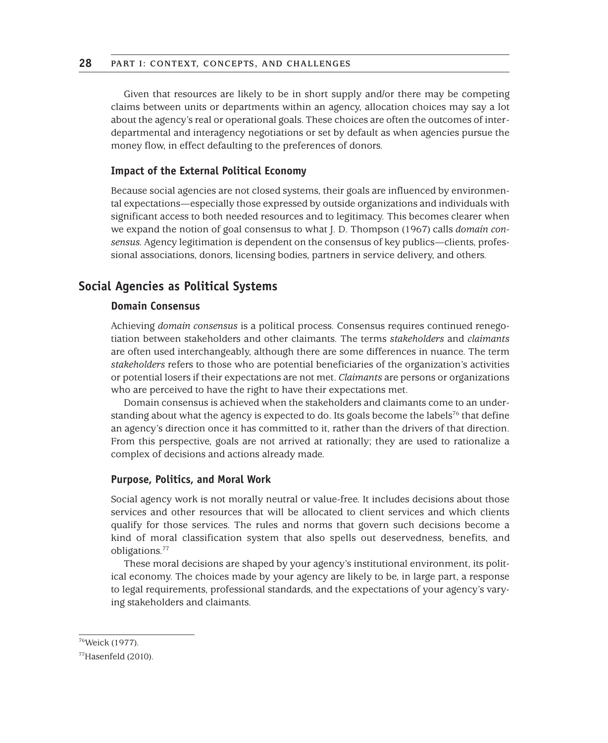Given that resources are likely to be in short supply and/or there may be competing claims between units or departments within an agency, allocation choices may say a lot about the agency's real or operational goals. These choices are often the outcomes of interdepartmental and interagency negotiations or set by default as when agencies pursue the money flow, in effect defaulting to the preferences of donors.

#### **Impact of the External Political Economy**

Because social agencies are not closed systems, their goals are influenced by environmental expectations—especially those expressed by outside organizations and individuals with significant access to both needed resources and to legitimacy. This becomes clearer when we expand the notion of goal consensus to what J. D. Thompson (1967) calls *domain consensus.* Agency legitimation is dependent on the consensus of key publics—clients, professional associations, donors, licensing bodies, partners in service delivery, and others.

## **Social Agencies as Political Systems**

## **Domain Consensus**

Achieving *domain consensus* is a political process. Consensus requires continued renegotiation between stakeholders and other claimants. The terms *stakeholders* and *claimants*  are often used interchangeably, although there are some differences in nuance. The term *stakeholders* refers to those who are potential beneficiaries of the organization's activities or potential losers if their expectations are not met. *Claimants* are persons or organizations who are perceived to have the right to have their expectations met.

Domain consensus is achieved when the stakeholders and claimants come to an understanding about what the agency is expected to do. Its goals become the labels<sup>76</sup> that define an agency's direction once it has committed to it, rather than the drivers of that direction. From this perspective, goals are not arrived at rationally; they are used to rationalize a complex of decisions and actions already made.

#### **Purpose, Politics, and Moral Work**

Social agency work is not morally neutral or value-free. It includes decisions about those services and other resources that will be allocated to client services and which clients qualify for those services. The rules and norms that govern such decisions become a kind of moral classification system that also spells out deservedness, benefits, and obligations.77

These moral decisions are shaped by your agency's institutional environment, its political economy. The choices made by your agency are likely to be, in large part, a response to legal requirements, professional standards, and the expectations of your agency's varying stakeholders and claimants.

<sup>76</sup>Weick (1977).

 $77$ Hasenfeld (2010).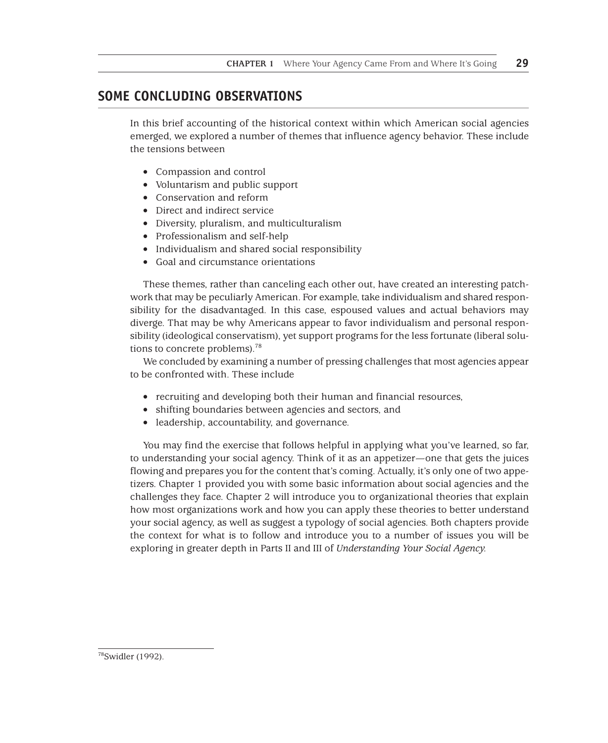# **SOME CONCLUDING OBSERVATIONS**

In this brief accounting of the historical context within which American social agencies emerged, we explored a number of themes that influence agency behavior. These include the tensions between

- Compassion and control
- Voluntarism and public support
- Conservation and reform
- Direct and indirect service
- Diversity, pluralism, and multiculturalism
- Professionalism and self-help
- Individualism and shared social responsibility
- Goal and circumstance orientations

These themes, rather than canceling each other out, have created an interesting patchwork that may be peculiarly American. For example, take individualism and shared responsibility for the disadvantaged. In this case, espoused values and actual behaviors may diverge. That may be why Americans appear to favor individualism and personal responsibility (ideological conservatism), yet support programs for the less fortunate (liberal solutions to concrete problems).78

We concluded by examining a number of pressing challenges that most agencies appear to be confronted with. These include

- recruiting and developing both their human and financial resources,
- shifting boundaries between agencies and sectors, and
- leadership, accountability, and governance.

You may find the exercise that follows helpful in applying what you've learned, so far, to understanding your social agency. Think of it as an appetizer—one that gets the juices flowing and prepares you for the content that's coming. Actually, it's only one of two appetizers. Chapter 1 provided you with some basic information about social agencies and the challenges they face. Chapter 2 will introduce you to organizational theories that explain how most organizations work and how you can apply these theories to better understand your social agency, as well as suggest a typology of social agencies. Both chapters provide the context for what is to follow and introduce you to a number of issues you will be exploring in greater depth in Parts II and III of *Understanding Your Social Agency.*

<sup>78</sup>Swidler (1992).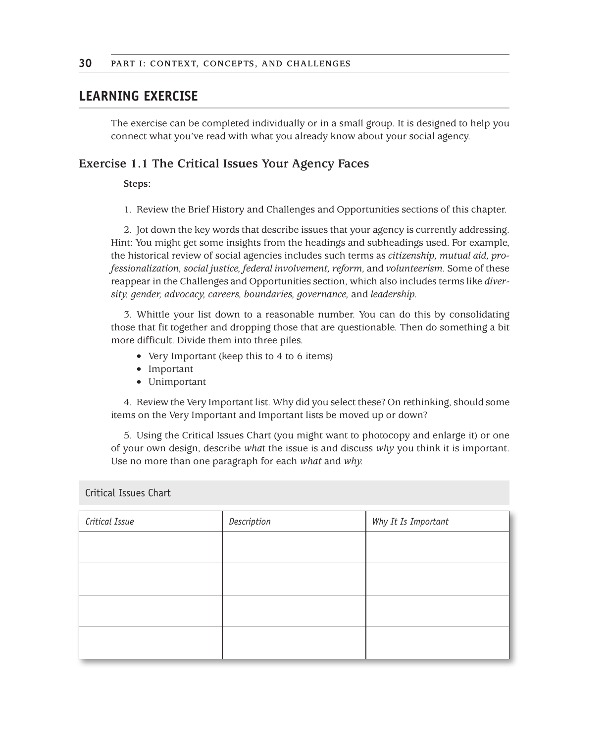# **LEARNING EXERCISE**

The exercise can be completed individually or in a small group. It is designed to help you connect what you've read with what you already know about your social agency.

## **Exercise 1.1 The Critical Issues Your Agency Faces**

#### **Steps:**

1. Review the Brief History and Challenges and Opportunities sections of this chapter.

2. Jot down the key words that describe issues that your agency is currently addressing. Hint: You might get some insights from the headings and subheadings used. For example, the historical review of social agencies includes such terms as *citizenship, mutual aid, professionalization, social justice, federal involvement, reform,* and *volunteerism.* Some of these reappear in the Challenges and Opportunities section, which also includes terms like *diversity, gender, advocacy, careers, boundaries, governance,* and *leadership.*

3. Whittle your list down to a reasonable number. You can do this by consolidating those that fit together and dropping those that are questionable. Then do something a bit more difficult. Divide them into three piles.

- · Very Important (keep this to 4 to 6 items)
- · Important
- · Unimportant

4. Review the Very Important list. Why did you select these? On rethinking, should some items on the Very Important and Important lists be moved up or down?

5. Using the Critical Issues Chart (you might want to photocopy and enlarge it) or one of your own design, describe *wha*t the issue is and discuss *why* you think it is important. Use no more than one paragraph for each *what* and *why.*

Critical Issues Chart

| Critical Issue | Description | Why It Is Important |
|----------------|-------------|---------------------|
|                |             |                     |
|                |             |                     |
|                |             |                     |
|                |             |                     |
|                |             |                     |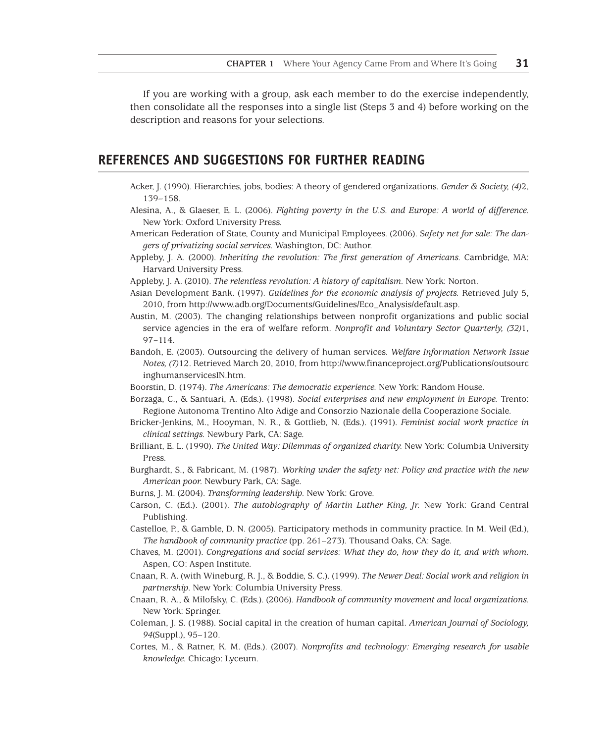If you are working with a group, ask each member to do the exercise independently, then consolidate all the responses into a single list (Steps 3 and 4) before working on the description and reasons for your selections.

## **REFERENCES AND SUGGESTIONS FOR FURTHER READING**

- Acker, J. (1990). Hierarchies, jobs, bodies: A theory of gendered organizations. *Gender & Society, (4)*2, 139–158.
- Alesina, A., & Glaeser, E. L. (2006). *Fighting poverty in the U.S. and Europe: A world of difference.*  New York: Oxford University Press.
- American Federation of State, County and Municipal Employees. (2006). S*afety net for sale: The dangers of privatizing social services.* Washington, DC: Author.
- Appleby, J. A. (2000). *Inheriting the revolution: The first generation of Americans.* Cambridge, MA: Harvard University Press.
- Appleby, J. A. (2010). *The relentless revolution: A history of capitalism.* New York: Norton.
- Asian Development Bank. (1997). *Guidelines for the economic analysis of projects.* Retrieved July 5, 2010, from http://www.adb.org/Documents/Guidelines/Eco\_Analysis/default.asp.
- Austin, M. (2003). The changing relationships between nonprofit organizations and public social service agencies in the era of welfare reform. *Nonprofit and Voluntary Sector Quarterly, (32)*1, 97–114.
- Bandoh, E. (2003). Outsourcing the delivery of human services. *Welfare Information Network Issue Notes, (7)*12. Retrieved March 20, 2010, from http://www.financeproject.org/Publications/outsourc inghumanservicesIN.htm.
- Boorstin, D. (1974). *The Americans: The democratic experience.* New York: Random House.
- Borzaga, C., & Santuari, A. (Eds.). (1998). *Social enterprises and new employment in Europe.* Trento: Regione Autonoma Trentino Alto Adige and Consorzio Nazionale della Cooperazione Sociale.
- Bricker-Jenkins, M., Hooyman, N. R., & Gottlieb, N. (Eds.). (1991). *Feminist social work practice in clinical settings.* Newbury Park, CA: Sage.
- Brilliant, E. L. (1990). *The United Way: Dilemmas of organized charity.* New York: Columbia University Press.
- Burghardt, S., & Fabricant, M. (1987). *Working under the safety net: Policy and practice with the new American poor.* Newbury Park, CA: Sage.
- Burns, J. M. (2004). *Transforming leadership.* New York: Grove.
- Carson, C. (Ed.). (2001). *The autobiography of Martin Luther King, Jr.* New York: Grand Central Publishing.
- Castelloe, P., & Gamble, D. N. (2005). Participatory methods in community practice. In M. Weil (Ed.), *The handbook of community practice* (pp. 261–273). Thousand Oaks, CA: Sage.
- Chaves, M. (2001). *Congregations and social services: What they do, how they do it, and with whom.* Aspen, CO: Aspen Institute.
- Cnaan, R. A. (with Wineburg, R. J., & Boddie, S. C.). (1999). *The Newer Deal: Social work and religion in partnership.* New York: Columbia University Press.
- Cnaan, R. A., & Milofsky, C. (Eds.). (2006). *Handbook of community movement and local organizations.*  New York: Springer.
- Coleman, J. S. (1988). Social capital in the creation of human capital. *American Journal of Sociology, 94*(Suppl.), 95–120.
- Cortes, M., & Ratner, K. M. (Eds.). (2007). *Nonprofits and technology: Emerging research for usable knowledge.* Chicago: Lyceum.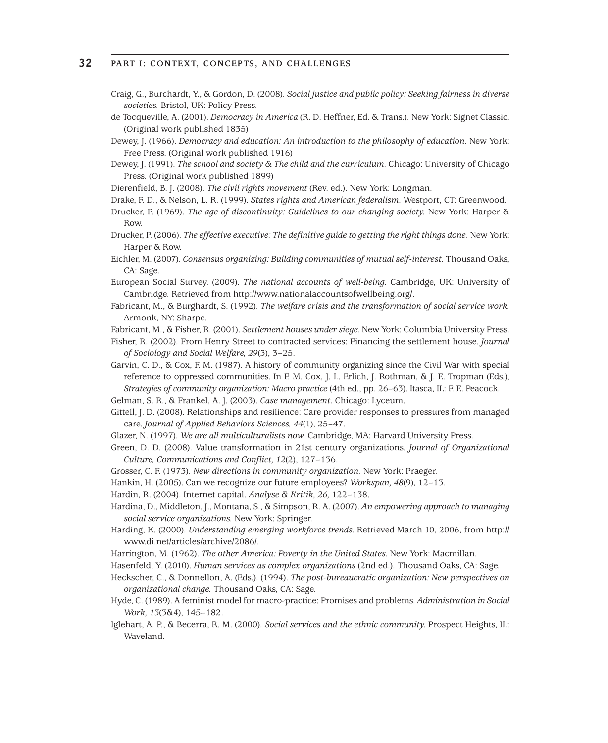- Craig, G., Burchardt, Y., & Gordon, D. (2008)*. Social justice and public policy: Seeking fairness in diverse societies.* Bristol, UK: Policy Press.
- de Tocqueville, A. (2001). *Democracy in America* (R. D. Heffner, Ed. & Trans.). New York: Signet Classic. (Original work published 1835)

Dewey, J. (1966). *Democracy and education: An introduction to the philosophy of education*. New York: Free Press. (Original work published 1916)

Dewey, J. (1991). *The school and society & The child and the curriculum.* Chicago: University of Chicago Press. (Original work published 1899)

Dierenfield, B. J. (2008). *The civil rights movement* (Rev. ed.). New York: Longman.

- Drake, F. D., & Nelson, L. R. (1999). *States rights and American federalism.* Westport, CT: Greenwood.
- Drucker, P. (1969). *The age of discontinuity: Guidelines to our changing society.* New York: Harper & Row.
- Drucker, P. (2006). *The effective executive: The definitive guide to getting the right things done*. New York: Harper & Row.
- Eichler, M. (2007). *Consensus organizing: Building communities of mutual self-interest.* Thousand Oaks, CA: Sage.
- European Social Survey. (2009). *The national accounts of well-being.* Cambridge, UK: University of Cambridge. Retrieved from http://www.nationalaccountsofwellbeing.org/.
- Fabricant, M., & Burghardt, S. (1992). *The welfare crisis and the transformation of social service work.*  Armonk, NY: Sharpe.
- Fabricant, M., & Fisher, R. (2001). *Settlement houses under siege.* New York: Columbia University Press.
- Fisher, R. (2002). From Henry Street to contracted services: Financing the settlement house. *Journal of Sociology and Social Welfare, 29*(3), 3–25.
- Garvin, C. D., & Cox, F. M. (1987). A history of community organizing since the Civil War with special reference to oppressed communities. In F. M. Cox, J. L. Erlich, J. Rothman, & J. E. Tropman (Eds.), *Strategies of community organization: Macro practice* (4th ed., pp. 26–63). Itasca, IL: F. E. Peacock.
- Gelman, S. R., & Frankel, A. J. (2003). *Case management.* Chicago: Lyceum.
- Gittell, J. D. (2008). Relationships and resilience: Care provider responses to pressures from managed care. *Journal of Applied Behaviors Sciences, 44*(1), 25–47.
- Glazer, N. (1997). *We are all multiculturalists now.* Cambridge, MA: Harvard University Press.
- Green, D. D. (2008). Value transformation in 21st century organizations. *Journal of Organizational Culture, Communications and Conflict, 12*(2), 127–136.
- Grosser, C. F. (1973). *New directions in community organization.* New York: Praeger.
- Hankin, H. (2005). Can we recognize our future employees? *Workspan, 48*(9), 12–13.

Hardin, R. (2004). Internet capital. *Analyse & Kritik, 26,* 122–138.

- Hardina, D., Middleton, J., Montana, S., & Simpson, R. A. (2007). *An empowering approach to managing social service organizations.* New York: Springer.
- Harding, K. (2000). *Understanding emerging workforce trends.* Retrieved March 10, 2006, from http:// www.di.net/articles/archive/2086/.
- Harrington, M. (1962). *The other America: Poverty in the United States.* New York: Macmillan.
- Hasenfeld, Y. (2010). *Human services as complex organizations* (2nd ed.). Thousand Oaks, CA: Sage.
- Heckscher, C., & Donnellon, A. (Eds.). (1994). *The post-bureaucratic organization: New perspectives on organizational change.* Thousand Oaks, CA: Sage.
- Hyde, C. (1989). A feminist model for macro-practice: Promises and problems. *Administration in Social Work, 13*(3&4), 145–182.
- Iglehart, A. P., & Becerra, R. M. (2000). *Social services and the ethnic community.* Prospect Heights, IL: Waveland.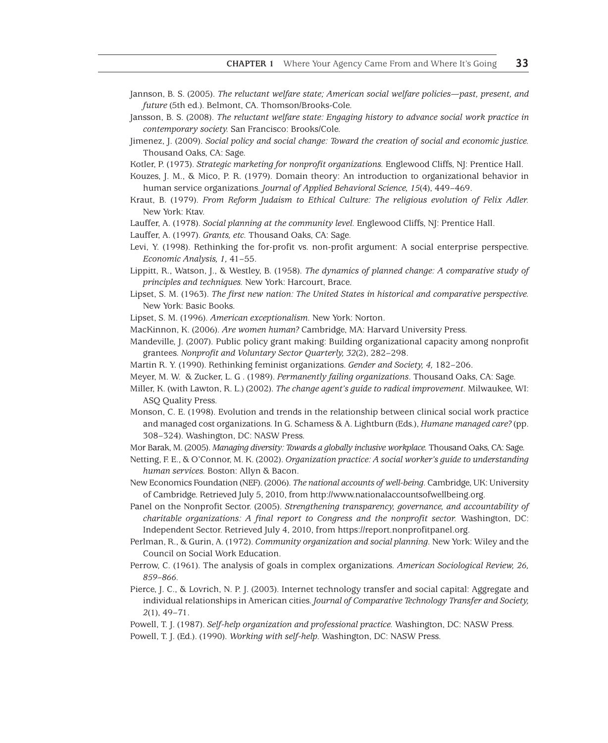- Jannson, B. S. (2005). *The reluctant welfare state; American social welfare policies—past, present, and future* (5th ed.)*.* Belmont, CA. Thomson/Brooks-Cole.
- Jansson, B. S. (2008). *The reluctant welfare state: Engaging history to advance social work practice in contemporary society.* San Francisco: Brooks/Cole.
- Jimenez, J. (2009). *Social policy and social change: Toward the creation of social and economic justice.* Thousand Oaks, CA: Sage.
- Kotler, P. (1973). *Strategic marketing for nonprofit organizations.* Englewood Cliffs, NJ: Prentice Hall.
- Kouzes, J. M., & Mico, P. R. (1979). Domain theory: An introduction to organizational behavior in human service organizations. *Journal of Applied Behavioral Science, 15*(4), 449–469.
- Kraut, B. (1979). *From Reform Judaism to Ethical Culture: The religious evolution of Felix Adler.* New York: Ktav.
- Lauffer, A. (1978). *Social planning at the community level.* Englewood Cliffs, NJ: Prentice Hall.
- Lauffer, A. (1997). *Grants, etc.* Thousand Oaks, CA: Sage.
- Levi, Y. (1998). Rethinking the for-profit vs. non-profit argument: A social enterprise perspective. *Economic Analysis, 1,* 41–55.
- Lippitt, R., Watson, J., & Westley, B. (1958). *The dynamics of planned change: A comparative study of principles and techniques.* New York: Harcourt, Brace.
- Lipset, S. M. (1963). *The first new nation: The United States in historical and comparative perspective.*  New York: Basic Books.
- Lipset, S. M. (1996). *American exceptionalism.* New York: Norton.
- MacKinnon, K. (2006). *Are women human?* Cambridge, MA: Harvard University Press.
- Mandeville, J. (2007). Public policy grant making: Building organizational capacity among nonprofit grantees. *Nonprofit and Voluntary Sector Quarterly, 32*(2), 282–298.
- Martin R. Y. (1990). Rethinking feminist organizations. *Gender and Society, 4,* 182–206.
- Meyer, M. W. & Zucker, L. G . (1989). *Permanently failing organizations*. Thousand Oaks, CA: Sage.
- Miller, K. (with Lawton, R. L.) (2002). *The change agent's guide to radical improvement.* Milwaukee, WI: ASQ Quality Press.
- Monson, C. E. (1998). Evolution and trends in the relationship between clinical social work practice and managed cost organizations. In G. Schamess & A. Lightburn (Eds.), *Humane managed care?* (pp. 308–324). Washington, DC: NASW Press.
- Mor Barak, M. (2005). *Managing diversity: Towards a globally inclusive workplace.* Thousand Oaks, CA: Sage.
- Netting, F. E., & O'Connor, M. K. (2002). *Organization practice: A social worker's guide to understanding human services.* Boston: Allyn & Bacon.
- New Economics Foundation (NEF). (2006). *The national accounts of well-being.* Cambridge, UK: University of Cambridge. Retrieved July 5, 2010, from http://www.nationalaccountsofwellbeing.org.
- Panel on the Nonprofit Sector. (2005). *Strengthening transparency, governance, and accountability of charitable organizations: A final report to Congress and the nonprofit sector.* Washington, DC: Independent Sector. Retrieved July 4, 2010, from https://report.nonprofitpanel.org.
- Perlman, R., & Gurin, A. (1972). *Community organization and social planning.* New York: Wiley and the Council on Social Work Education.
- Perrow, C. (1961). The analysis of goals in complex organizations. *American Sociological Review, 26, 859–866.*
- Pierce, J. C., & Lovrich, N. P. J. (2003). Internet technology transfer and social capital: Aggregate and individual relationships in American cities. *Journal of Comparative Technology Transfer and Society, 2*(1), 49–71.
- Powell, T. J. (1987). *Self-help organization and professional practice.* Washington, DC: NASW Press.
- Powell, T. J. (Ed.). (1990). *Working with self-help.* Washington, DC: NASW Press.